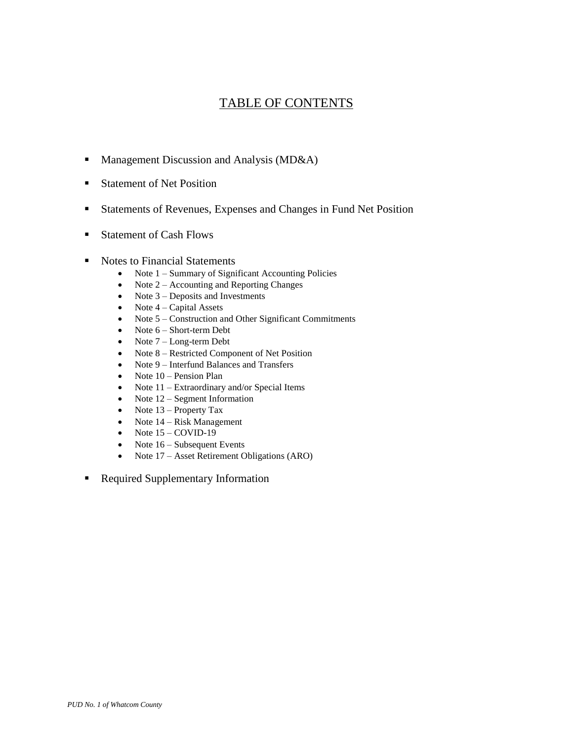# TABLE OF CONTENTS

- Management Discussion and Analysis ( $MD&A$ )
- **Statement of Net Position**
- Statements of Revenues, Expenses and Changes in Fund Net Position
- Statement of Cash Flows
- Notes to Financial Statements
	- Note  $1 -$  Summary of Significant Accounting Policies
	- $\bullet$  Note 2 Accounting and Reporting Changes
	- Note  $3$  Deposits and Investments
	- Note  $4 -$  Capital Assets
	- Note 5 Construction and Other Significant Commitments
	- $\bullet$  Note  $6$  Short-term Debt
	- $\bullet$  Note  $7$  Long-term Debt
	- Note 8 Restricted Component of Net Position
	- Note 9 Interfund Balances and Transfers
	- $\bullet$  Note 10 Pension Plan
	- Note  $11$  Extraordinary and/or Special Items
	- Note  $12$  Segment Information
	- Note  $13$  Property Tax
	- Note  $14 Risk Management$
	- $\bullet$  Note 15 COVID-19
	- Note  $16$  Subsequent Events
	- Note 17 Asset Retirement Obligations (ARO)
- Required Supplementary Information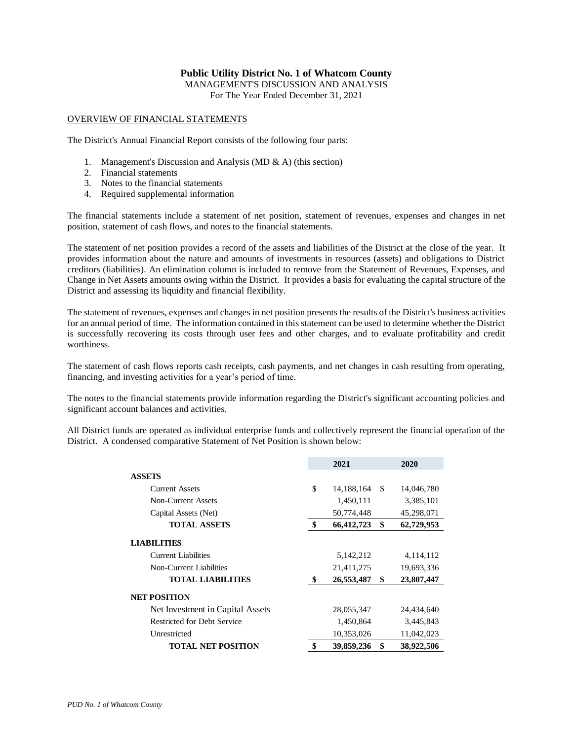MANAGEMENT'S DISCUSSION AND ANALYSIS

For The Year Ended December 31, 2021

#### OVERVIEW OF FINANCIAL STATEMENTS

The District's Annual Financial Report consists of the following four parts:

- 1. Management's Discussion and Analysis (MD & A) (this section)
- 2. Financial statements
- 3. Notes to the financial statements
- 4. Required supplemental information

The financial statements include a statement of net position, statement of revenues, expenses and changes in net position, statement of cash flows, and notes to the financial statements.

The statement of net position provides a record of the assets and liabilities of the District at the close of the year. It provides information about the nature and amounts of investments in resources (assets) and obligations to District creditors (liabilities). An elimination column is included to remove from the Statement of Revenues, Expenses, and Change in Net Assets amounts owing within the District. It provides a basis for evaluating the capital structure of the District and assessing its liquidity and financial flexibility.

The statement of revenues, expenses and changes in net position presents the results of the District's business activities for an annual period of time. The information contained in this statement can be used to determine whether the District is successfully recovering its costs through user fees and other charges, and to evaluate profitability and credit worthiness.

The statement of cash flows reports cash receipts, cash payments, and net changes in cash resulting from operating, financing, and investing activities for a year's period of time.

The notes to the financial statements provide information regarding the District's significant accounting policies and significant account balances and activities.

All District funds are operated as individual enterprise funds and collectively represent the financial operation of the District. A condensed comparative Statement of Net Position is shown below:

|                                  | 2021               |    | 2020       |
|----------------------------------|--------------------|----|------------|
| <b>ASSETS</b>                    |                    |    |            |
| <b>Current Assets</b>            | \$<br>14, 188, 164 | -S | 14,046,780 |
| Non-Current Assets               | 1,450,111          |    | 3,385,101  |
| Capital Assets (Net)             | 50,774,448         |    | 45,298,071 |
| <b>TOTAL ASSETS</b>              | \$<br>66,412,723   | \$ | 62,729,953 |
| <b>LIABILITIES</b>               |                    |    |            |
| Current Liabilities              | 5,142,212          |    | 4,114,112  |
| Non-Current Liabilities          | 21,411,275         |    | 19,693,336 |
| <b>TOTAL LIABILITIES</b>         | \$<br>26,553,487   | \$ | 23,807,447 |
| <b>NET POSITION</b>              |                    |    |            |
| Net Investment in Capital Assets | 28,055,347         |    | 24,434,640 |
| Restricted for Debt Service      | 1,450,864          |    | 3,445,843  |
| Unrestricted                     | 10,353,026         |    | 11,042,023 |
| <b>TOTAL NET POSITION</b>        | \$<br>39,859,236   | \$ | 38,922,506 |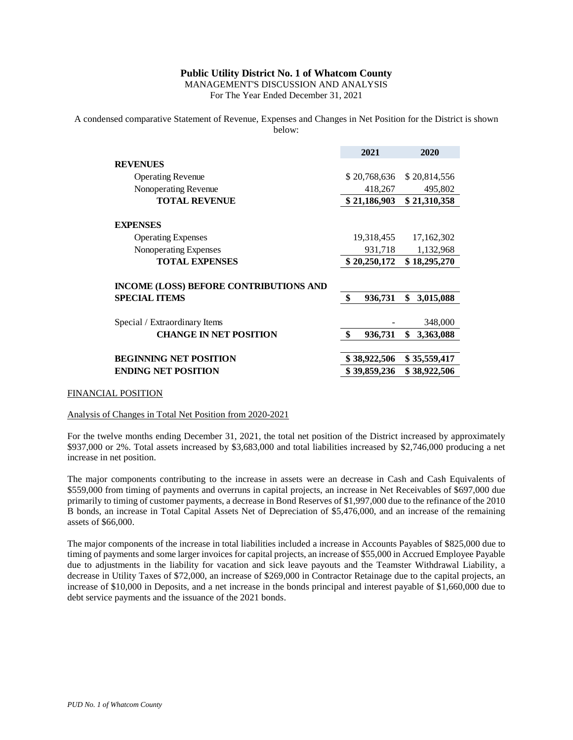MANAGEMENT'S DISCUSSION AND ANALYSIS For The Year Ended December 31, 2021

A condensed comparative Statement of Revenue, Expenses and Changes in Net Position for the District is shown below:

|                                               | 2021          | 2020            |
|-----------------------------------------------|---------------|-----------------|
| <b>REVENUES</b>                               |               |                 |
| <b>Operating Revenue</b>                      | \$20,768,636  | \$20,814,556    |
| Nonoperating Revenue                          | 418,267       | 495,802         |
| <b>TOTAL REVENUE</b>                          | \$21,186,903  | \$21,310,358    |
| <b>EXPENSES</b>                               |               |                 |
| <b>Operating Expenses</b>                     | 19,318,455    | 17,162,302      |
| Nonoperating Expenses                         | 931,718       | 1,132,968       |
| <b>TOTAL EXPENSES</b>                         | \$20,250,172  | \$18,295,270    |
| <b>INCOME (LOSS) BEFORE CONTRIBUTIONS AND</b> |               |                 |
| <b>SPECIAL ITEMS</b>                          | \$<br>936,731 | \$<br>3,015,088 |
| Special / Extraordinary Items                 |               | 348,000         |
| <b>CHANGE IN NET POSITION</b>                 | \$<br>936,731 | \$<br>3,363,088 |
| <b>BEGINNING NET POSITION</b>                 | \$38,922,506  | \$35,559,417    |
| <b>ENDING NET POSITION</b>                    | \$39,859,236  | \$38,922,506    |

#### FINANCIAL POSITION

#### Analysis of Changes in Total Net Position from 2020-2021

For the twelve months ending December 31, 2021, the total net position of the District increased by approximately \$937,000 or 2%. Total assets increased by \$3,683,000 and total liabilities increased by \$2,746,000 producing a net increase in net position.

The major components contributing to the increase in assets were an decrease in Cash and Cash Equivalents of \$559,000 from timing of payments and overruns in capital projects, an increase in Net Receivables of \$697,000 due primarily to timing of customer payments, a decrease in Bond Reserves of \$1,997,000 due to the refinance of the 2010 B bonds, an increase in Total Capital Assets Net of Depreciation of \$5,476,000, and an increase of the remaining assets of \$66,000.

The major components of the increase in total liabilities included a increase in Accounts Payables of \$825,000 due to timing of payments and some larger invoices for capital projects, an increase of \$55,000 in Accrued Employee Payable due to adjustments in the liability for vacation and sick leave payouts and the Teamster Withdrawal Liability, a decrease in Utility Taxes of \$72,000, an increase of \$269,000 in Contractor Retainage due to the capital projects, an increase of \$10,000 in Deposits, and a net increase in the bonds principal and interest payable of \$1,660,000 due to debt service payments and the issuance of the 2021 bonds.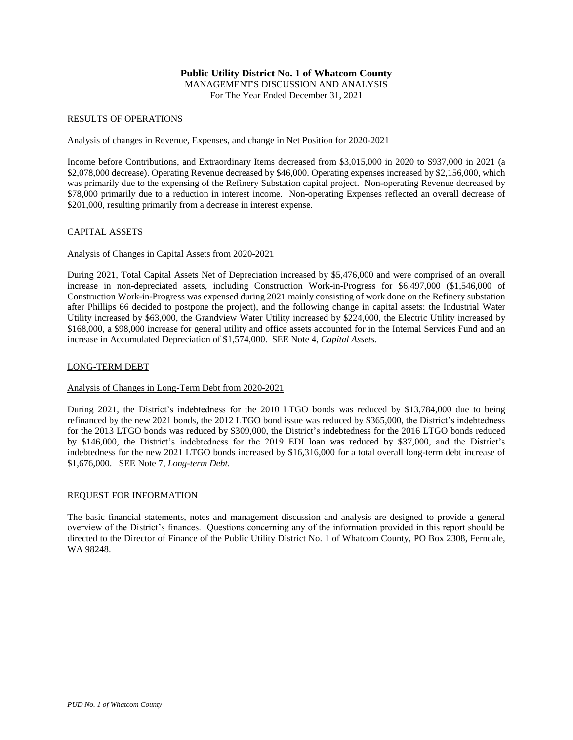# **Public Utility District No. 1 of Whatcom County** MANAGEMENT'S DISCUSSION AND ANALYSIS

For The Year Ended December 31, 2021

#### RESULTS OF OPERATIONS

### Analysis of changes in Revenue, Expenses, and change in Net Position for 2020-2021

Income before Contributions, and Extraordinary Items decreased from \$3,015,000 in 2020 to \$937,000 in 2021 (a \$2,078,000 decrease). Operating Revenue decreased by \$46,000. Operating expenses increased by \$2,156,000, which was primarily due to the expensing of the Refinery Substation capital project. Non-operating Revenue decreased by \$78,000 primarily due to a reduction in interest income. Non-operating Expenses reflected an overall decrease of \$201,000, resulting primarily from a decrease in interest expense.

### CAPITAL ASSETS

### Analysis of Changes in Capital Assets from 2020-2021

During 2021, Total Capital Assets Net of Depreciation increased by \$5,476,000 and were comprised of an overall increase in non-depreciated assets, including Construction Work-in-Progress for \$6,497,000 (\$1,546,000 of Construction Work-in-Progress was expensed during 2021 mainly consisting of work done on the Refinery substation after Phillips 66 decided to postpone the project), and the following change in capital assets: the Industrial Water Utility increased by \$63,000, the Grandview Water Utility increased by \$224,000, the Electric Utility increased by \$168,000, a \$98,000 increase for general utility and office assets accounted for in the Internal Services Fund and an increase in Accumulated Depreciation of \$1,574,000. SEE Note 4, *Capital Assets*.

### LONG-TERM DEBT

### Analysis of Changes in Long-Term Debt from 2020-2021

During 2021, the District's indebtedness for the 2010 LTGO bonds was reduced by \$13,784,000 due to being refinanced by the new 2021 bonds, the 2012 LTGO bond issue was reduced by \$365,000, the District's indebtedness for the 2013 LTGO bonds was reduced by \$309,000, the District's indebtedness for the 2016 LTGO bonds reduced by \$146,000, the District's indebtedness for the 2019 EDI loan was reduced by \$37,000, and the District's indebtedness for the new 2021 LTGO bonds increased by \$16,316,000 for a total overall long-term debt increase of \$1,676,000. SEE Note 7, *Long-term Debt.*

#### REQUEST FOR INFORMATION

The basic financial statements, notes and management discussion and analysis are designed to provide a general overview of the District's finances. Questions concerning any of the information provided in this report should be directed to the Director of Finance of the Public Utility District No. 1 of Whatcom County, PO Box 2308, Ferndale, WA 98248.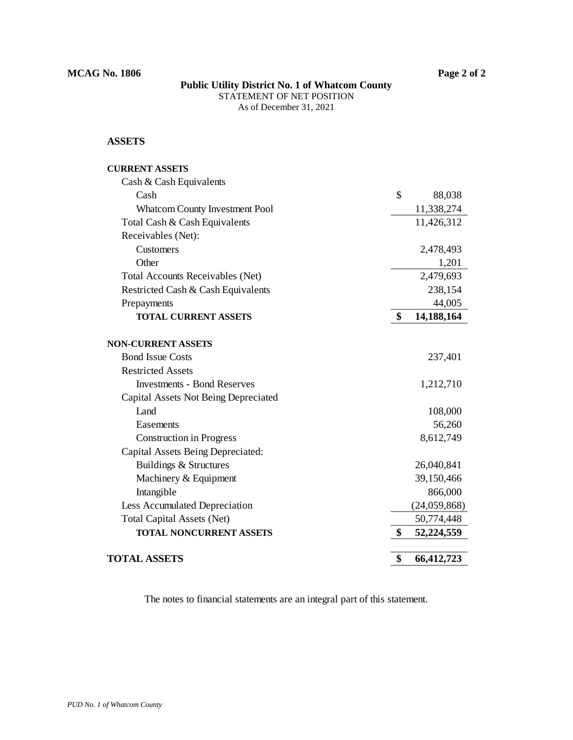# **Public Utility District No. 1 of Whatcom County** STATEMENT OF NET POSITION

As of December 31, 2021

## **ASSETS**

| <b>CURRENT ASSETS</b>                 |                  |
|---------------------------------------|------------------|
| Cash & Cash Equivalents               |                  |
| Cash                                  | \$<br>88,038     |
| <b>Whatcom County Investment Pool</b> | 11,338,274       |
| Total Cash & Cash Equivalents         | 11,426,312       |
| Receivables (Net):                    |                  |
| Customers                             | 2,478,493        |
| Other                                 | 1,201            |
| Total Accounts Receivables (Net)      | 2,479,693        |
| Restricted Cash & Cash Equivalents    | 238,154          |
| Prepayments                           | 44,005           |
| <b>TOTAL CURRENT ASSETS</b>           | \$<br>14,188,164 |
| <b>NON-CURRENT ASSETS</b>             |                  |
| <b>Bond Issue Costs</b>               | 237,401          |
| <b>Restricted Assets</b>              |                  |
| <b>Investments - Bond Reserves</b>    | 1,212,710        |
| Capital Assets Not Being Depreciated  |                  |
| Land                                  | 108,000          |
| Easements                             | 56,260           |
| <b>Construction in Progress</b>       | 8,612,749        |
| Capital Assets Being Depreciated:     |                  |
| Buildings & Structures                | 26,040,841       |
| Machinery & Equipment                 | 39,150,466       |
| Intangible                            | 866,000          |
| Less Accumulated Depreciation         | (24,059,868)     |
| <b>Total Capital Assets (Net)</b>     | 50,774,448       |
| <b>TOTAL NONCURRENT ASSETS</b>        | \$<br>52,224,559 |
| <b>TOTAL ASSETS</b>                   | \$<br>66,412,723 |
|                                       |                  |

The notes to financial statements are an integral part of this statement.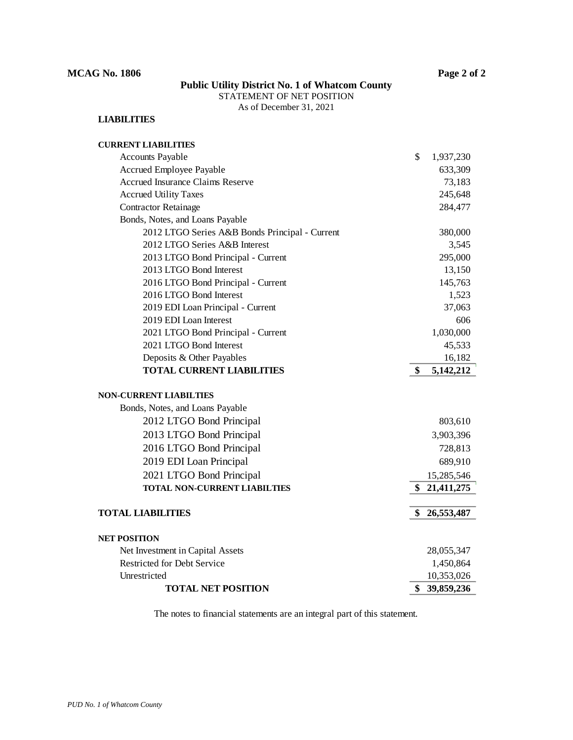## STATEMENT OF NET POSITION

As of December 31, 2021

## **LIABILITIES**

| <b>CURRENT LIABILITIES</b>                     |                  |
|------------------------------------------------|------------------|
| <b>Accounts Payable</b>                        | \$<br>1,937,230  |
| Accrued Employee Payable                       | 633,309          |
| <b>Accrued Insurance Claims Reserve</b>        | 73,183           |
| <b>Accrued Utility Taxes</b>                   | 245,648          |
| <b>Contractor Retainage</b>                    | 284,477          |
| Bonds, Notes, and Loans Payable                |                  |
| 2012 LTGO Series A&B Bonds Principal - Current | 380,000          |
| 2012 LTGO Series A&B Interest                  | 3,545            |
| 2013 LTGO Bond Principal - Current             | 295,000          |
| 2013 LTGO Bond Interest                        | 13,150           |
| 2016 LTGO Bond Principal - Current             | 145,763          |
| 2016 LTGO Bond Interest                        | 1,523            |
| 2019 EDI Loan Principal - Current              | 37,063           |
| 2019 EDI Loan Interest                         | 606              |
| 2021 LTGO Bond Principal - Current             | 1,030,000        |
| 2021 LTGO Bond Interest                        | 45,533           |
| Deposits & Other Payables                      | 16,182           |
| <b>TOTAL CURRENT LIABILITIES</b>               | \$<br>5,142,212  |
| <b>NON-CURRENT LIABILTIES</b>                  |                  |
| Bonds, Notes, and Loans Payable                |                  |
| 2012 LTGO Bond Principal                       | 803,610          |
| 2013 LTGO Bond Principal                       | 3,903,396        |
| 2016 LTGO Bond Principal                       | 728,813          |
| 2019 EDI Loan Principal                        | 689,910          |
| 2021 LTGO Bond Principal                       | 15,285,546       |
| <b>TOTAL NON-CURRENT LIABILTIES</b>            | \$<br>21,411,275 |
|                                                |                  |
| <b>TOTAL LIABILITIES</b>                       | \$26,553,487     |
| <b>NET POSITION</b>                            |                  |
| Net Investment in Capital Assets               | 28,055,347       |
| <b>Restricted for Debt Service</b>             | 1,450,864        |
| Unrestricted                                   | 10,353,026       |
| <b>TOTAL NET POSITION</b>                      | \$<br>39,859,236 |

The notes to financial statements are an integral part of this statement.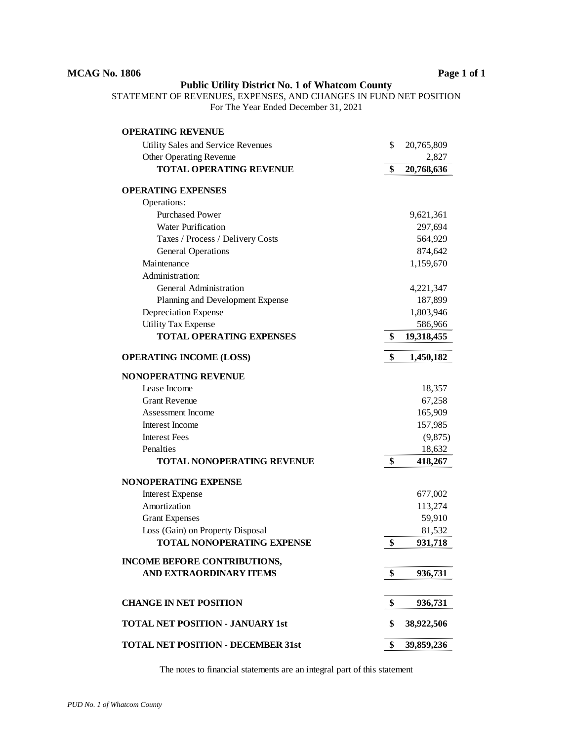STATEMENT OF REVENUES, EXPENSES, AND CHANGES IN FUND NET POSITION For The Year Ended December 31, 2021

| <b>OPERATING REVENUE</b>                  |                  |
|-------------------------------------------|------------------|
| Utility Sales and Service Revenues        | \$<br>20,765,809 |
| <b>Other Operating Revenue</b>            | 2,827            |
| <b>TOTAL OPERATING REVENUE</b>            | \$<br>20,768,636 |
| <b>OPERATING EXPENSES</b>                 |                  |
| Operations:                               |                  |
| <b>Purchased Power</b>                    | 9,621,361        |
| <b>Water Purification</b>                 | 297,694          |
| Taxes / Process / Delivery Costs          | 564,929          |
| <b>General Operations</b>                 | 874,642          |
| Maintenance                               | 1,159,670        |
| Administration:                           |                  |
| General Administration                    | 4,221,347        |
| Planning and Development Expense          | 187,899          |
| Depreciation Expense                      | 1,803,946        |
| <b>Utility Tax Expense</b>                | 586,966          |
| <b>TOTAL OPERATING EXPENSES</b>           | \$<br>19,318,455 |
| <b>OPERATING INCOME (LOSS)</b>            | \$<br>1,450,182  |
|                                           |                  |
| <b>NONOPERATING REVENUE</b>               |                  |
| Lease Income                              | 18,357           |
| <b>Grant Revenue</b>                      | 67,258           |
| <b>Assessment Income</b>                  | 165,909          |
| Interest Income                           | 157,985          |
| <b>Interest Fees</b>                      | (9,875)          |
| Penalties                                 | 18,632           |
| TOTAL NONOPERATING REVENUE                | \$<br>418,267    |
| <b>NONOPERATING EXPENSE</b>               |                  |
| <b>Interest Expense</b>                   | 677,002          |
| Amortization                              | 113,274          |
| <b>Grant Expenses</b>                     | 59,910           |
| Loss (Gain) on Property Disposal          | 81,532           |
| TOTAL NONOPERATING EXPENSE                | \$<br>931,718    |
| <b>INCOME BEFORE CONTRIBUTIONS,</b>       |                  |
| AND EXTRAORDINARY ITEMS                   | \$<br>936,731    |
|                                           |                  |
| <b>CHANGE IN NET POSITION</b>             | \$<br>936,731    |
| <b>TOTAL NET POSITION - JANUARY 1st</b>   | \$<br>38,922,506 |
| <b>TOTAL NET POSITION - DECEMBER 31st</b> | \$<br>39,859,236 |

The notes to financial statements are an integral part of this statement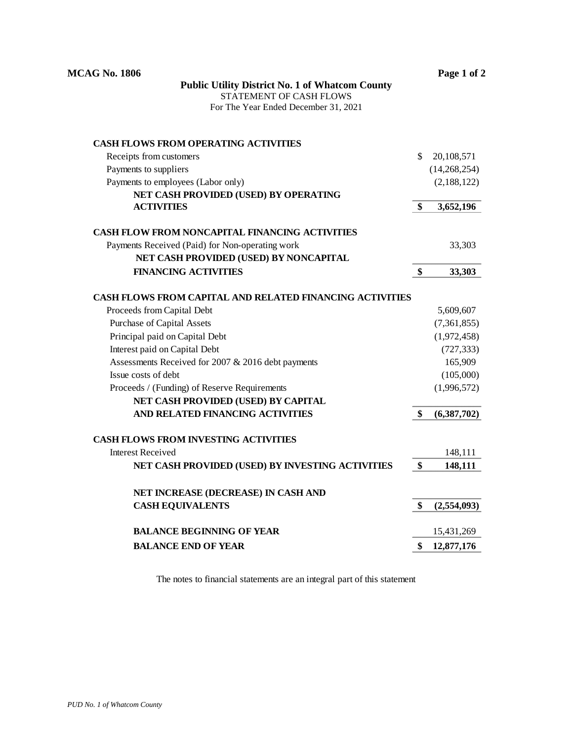| <b>MCAG No. 1806</b>                                            | Page 1 of 2       |
|-----------------------------------------------------------------|-------------------|
| <b>Public Utility District No. 1 of Whatcom County</b>          |                   |
| STATEMENT OF CASH FLOWS                                         |                   |
| For The Year Ended December 31, 2021                            |                   |
| <b>CASH FLOWS FROM OPERATING ACTIVITIES</b>                     |                   |
| Receipts from customers                                         | \$<br>20,108,571  |
| Payments to suppliers                                           | (14,268,254)      |
| Payments to employees (Labor only)                              | (2,188,122)       |
| NET CASH PROVIDED (USED) BY OPERATING                           |                   |
| <b>ACTIVITIES</b>                                               | \$<br>3,652,196   |
| <b>CASH FLOW FROM NONCAPITAL FINANCING ACTIVITIES</b>           |                   |
| Payments Received (Paid) for Non-operating work                 | 33,303            |
| NET CASH PROVIDED (USED) BY NONCAPITAL                          |                   |
| <b>FINANCING ACTIVITIES</b>                                     | \$<br>33,303      |
| <b>CASH FLOWS FROM CAPITAL AND RELATED FINANCING ACTIVITIES</b> |                   |
| Proceeds from Capital Debt                                      | 5,609,607         |
| <b>Purchase of Capital Assets</b>                               | (7,361,855)       |
| Principal paid on Capital Debt                                  | (1,972,458)       |
| Interest paid on Capital Debt                                   | (727, 333)        |
| Assessments Received for 2007 & 2016 debt payments              | 165,909           |
| Issue costs of debt                                             | (105,000)         |
| Proceeds / (Funding) of Reserve Requirements                    | (1,996,572)       |
| NET CASH PROVIDED (USED) BY CAPITAL                             |                   |
| AND RELATED FINANCING ACTIVITIES                                | \$<br>(6,387,702) |
| <b>CASH FLOWS FROM INVESTING ACTIVITIES</b>                     |                   |
| <b>Interest Received</b>                                        | 148,111           |
| NET CASH PROVIDED (USED) BY INVESTING ACTIVITIES                | \$<br>148,111     |
| NET INCREASE (DECREASE) IN CASH AND                             |                   |
| <b>CASH EQUIVALENTS</b>                                         | \$<br>(2,554,093) |
| <b>BALANCE BEGINNING OF YEAR</b>                                | 15,431,269        |
| <b>BALANCE END OF YEAR</b>                                      | \$<br>12,877,176  |

The notes to financial statements are an integral part of this statement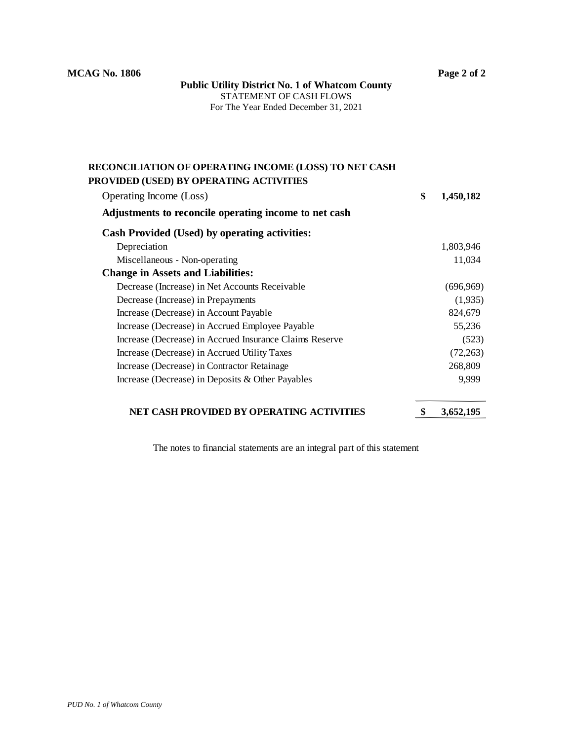**Public Utility District No. 1 of Whatcom County** STATEMENT OF CASH FLOWS For The Year Ended December 31, 2021

## **RECONCILIATION OF OPERATING INCOME (LOSS) TO NET CASH PROVIDED (USED) BY OPERATING ACTIVITIES**

| Operating Income (Loss)                                 | \$<br>1,450,182 |
|---------------------------------------------------------|-----------------|
| Adjustments to reconcile operating income to net cash   |                 |
| <b>Cash Provided (Used) by operating activities:</b>    |                 |
| Depreciation                                            | 1,803,946       |
| Miscellaneous - Non-operating                           | 11,034          |
| <b>Change in Assets and Liabilities:</b>                |                 |
| Decrease (Increase) in Net Accounts Receivable          | (696,969)       |
| Decrease (Increase) in Prepayments                      | (1,935)         |
| Increase (Decrease) in Account Payable                  | 824,679         |
| Increase (Decrease) in Accrued Employee Payable         | 55,236          |
| Increase (Decrease) in Accrued Insurance Claims Reserve | (523)           |
| Increase (Decrease) in Accrued Utility Taxes            | (72, 263)       |
| Increase (Decrease) in Contractor Retainage             | 268,809         |
| Increase (Decrease) in Deposits & Other Payables        | 9,999           |
|                                                         |                 |

## **NET CASH PROVIDED BY OPERATING ACTIVITIES \$ 3,652,195**

The notes to financial statements are an integral part of this statement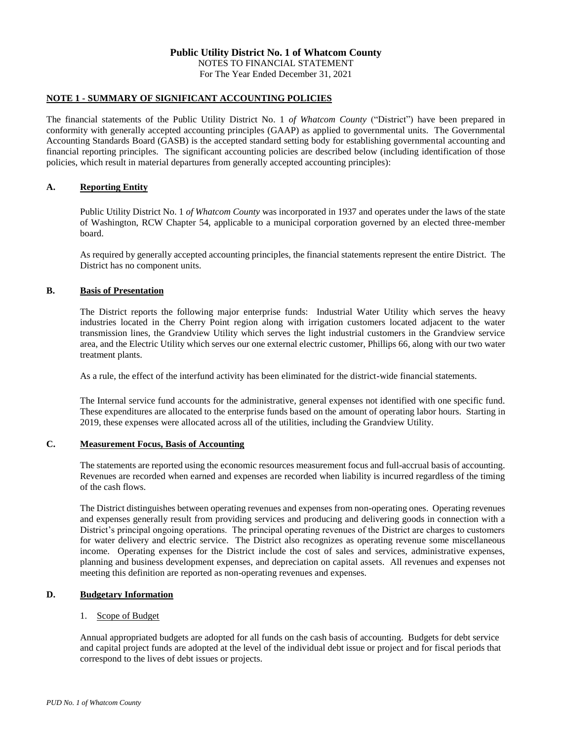For The Year Ended December 31, 2021

### **NOTE 1 - SUMMARY OF SIGNIFICANT ACCOUNTING POLICIES**

The financial statements of the Public Utility District No. 1 *of Whatcom County* ("District") have been prepared in conformity with generally accepted accounting principles (GAAP) as applied to governmental units. The Governmental Accounting Standards Board (GASB) is the accepted standard setting body for establishing governmental accounting and financial reporting principles. The significant accounting policies are described below (including identification of those policies, which result in material departures from generally accepted accounting principles):

### **A. Reporting Entity**

Public Utility District No. 1 *of Whatcom County* was incorporated in 1937 and operates under the laws of the state of Washington, RCW Chapter 54, applicable to a municipal corporation governed by an elected three-member board.

As required by generally accepted accounting principles, the financial statements represent the entire District. The District has no component units.

### **B. Basis of Presentation**

The District reports the following major enterprise funds: Industrial Water Utility which serves the heavy industries located in the Cherry Point region along with irrigation customers located adjacent to the water transmission lines, the Grandview Utility which serves the light industrial customers in the Grandview service area, and the Electric Utility which serves our one external electric customer, Phillips 66, along with our two water treatment plants.

As a rule, the effect of the interfund activity has been eliminated for the district-wide financial statements.

The Internal service fund accounts for the administrative, general expenses not identified with one specific fund. These expenditures are allocated to the enterprise funds based on the amount of operating labor hours. Starting in 2019, these expenses were allocated across all of the utilities, including the Grandview Utility.

### **C. Measurement Focus, Basis of Accounting**

The statements are reported using the economic resources measurement focus and full-accrual basis of accounting. Revenues are recorded when earned and expenses are recorded when liability is incurred regardless of the timing of the cash flows.

The District distinguishes between operating revenues and expenses from non-operating ones. Operating revenues and expenses generally result from providing services and producing and delivering goods in connection with a District's principal ongoing operations. The principal operating revenues of the District are charges to customers for water delivery and electric service. The District also recognizes as operating revenue some miscellaneous income. Operating expenses for the District include the cost of sales and services, administrative expenses, planning and business development expenses, and depreciation on capital assets. All revenues and expenses not meeting this definition are reported as non-operating revenues and expenses.

### **D. Budgetary Information**

### 1. Scope of Budget

Annual appropriated budgets are adopted for all funds on the cash basis of accounting. Budgets for debt service and capital project funds are adopted at the level of the individual debt issue or project and for fiscal periods that correspond to the lives of debt issues or projects.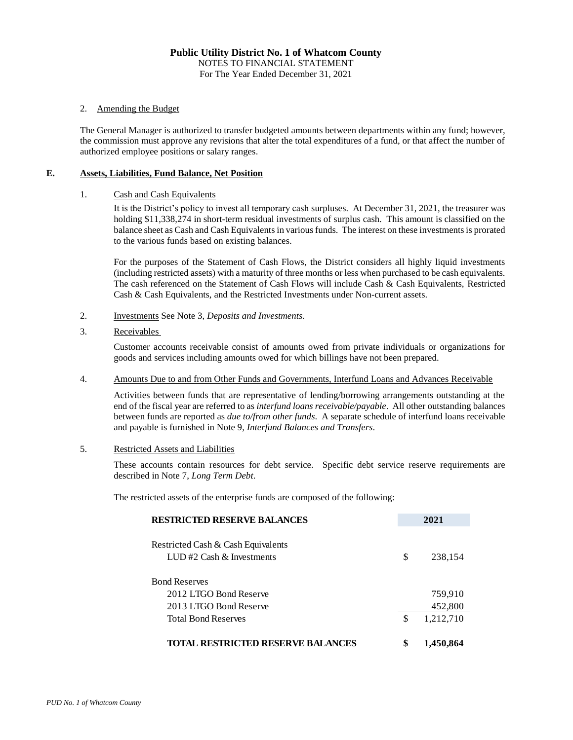### 2. Amending the Budget

The General Manager is authorized to transfer budgeted amounts between departments within any fund; however, the commission must approve any revisions that alter the total expenditures of a fund, or that affect the number of authorized employee positions or salary ranges.

### **E. Assets, Liabilities, Fund Balance, Net Position**

### 1. Cash and Cash Equivalents

It is the District's policy to invest all temporary cash surpluses. At December 31, 2021, the treasurer was holding \$11,338,274 in short-term residual investments of surplus cash. This amount is classified on the balance sheet as Cash and Cash Equivalents in various funds. The interest on these investments is prorated to the various funds based on existing balances.

For the purposes of the Statement of Cash Flows*,* the District considers all highly liquid investments (including restricted assets) with a maturity of three months or less when purchased to be cash equivalents. The cash referenced on the Statement of Cash Flows will include Cash & Cash Equivalents, Restricted Cash & Cash Equivalents, and the Restricted Investments under Non-current assets.

- 2. Investments See Note 3, *Deposits and Investments.*
- 3. Receivables

Customer accounts receivable consist of amounts owed from private individuals or organizations for goods and services including amounts owed for which billings have not been prepared.

#### 4. Amounts Due to and from Other Funds and Governments, Interfund Loans and Advances Receivable

Activities between funds that are representative of lending/borrowing arrangements outstanding at the end of the fiscal year are referred to as *interfund loans receivable/payable*. All other outstanding balances between funds are reported as *due to/from other funds*. A separate schedule of interfund loans receivable and payable is furnished in Note 9, *Interfund Balances and Transfers*.

#### 5. Restricted Assets and Liabilities

These accounts contain resources for debt service. Specific debt service reserve requirements are described in Note 7, *Long Term Debt*.

The restricted assets of the enterprise funds are composed of the following:

| <b>RESTRICTED RESERVE BALANCES</b>                                 | 2021            |
|--------------------------------------------------------------------|-----------------|
| Restricted Cash & Cash Equivalents<br>LUD #2 Cash $\&$ Investments | \$<br>238,154   |
| <b>Bond Reserves</b>                                               |                 |
| 2012 LTGO Bond Reserve                                             | 759,910         |
| 2013 LTGO Bond Reserve                                             | 452,800         |
| <b>Total Bond Reserves</b>                                         | \$<br>1,212,710 |
| <b>TOTAL RESTRICTED RESERVE BALANCES</b>                           | \$<br>1,450,864 |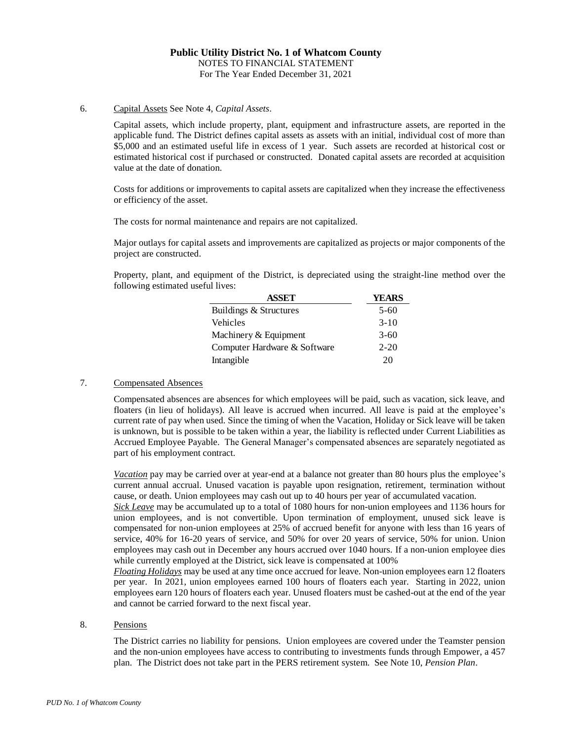### 6. Capital Assets See Note 4, *Capital Assets*.

Capital assets, which include property, plant, equipment and infrastructure assets, are reported in the applicable fund. The District defines capital assets as assets with an initial, individual cost of more than \$5,000 and an estimated useful life in excess of 1 year. Such assets are recorded at historical cost or estimated historical cost if purchased or constructed. Donated capital assets are recorded at acquisition value at the date of donation.

Costs for additions or improvements to capital assets are capitalized when they increase the effectiveness or efficiency of the asset.

The costs for normal maintenance and repairs are not capitalized.

Major outlays for capital assets and improvements are capitalized as projects or major components of the project are constructed.

Property, plant, and equipment of the District, is depreciated using the straight-line method over the following estimated useful lives:

| <b>ASSET</b>                 | YEARS    |
|------------------------------|----------|
| Buildings & Structures       | $5-60$   |
| Vehicles                     | $3-10$   |
| Machinery & Equipment        | $3-60$   |
| Computer Hardware & Software | $2 - 20$ |
| Intangible                   | 20       |

#### 7. Compensated Absences

Compensated absences are absences for which employees will be paid, such as vacation, sick leave, and floaters (in lieu of holidays). All leave is accrued when incurred. All leave is paid at the employee's current rate of pay when used. Since the timing of when the Vacation, Holiday or Sick leave will be taken is unknown, but is possible to be taken within a year, the liability is reflected under Current Liabilities as Accrued Employee Payable. The General Manager's compensated absences are separately negotiated as part of his employment contract.

*Vacation* pay may be carried over at year-end at a balance not greater than 80 hours plus the employee's current annual accrual. Unused vacation is payable upon resignation, retirement, termination without cause, or death. Union employees may cash out up to 40 hours per year of accumulated vacation.

*Sick Leave* may be accumulated up to a total of 1080 hours for non-union employees and 1136 hours for union employees, and is not convertible. Upon termination of employment, unused sick leave is compensated for non-union employees at 25% of accrued benefit for anyone with less than 16 years of service, 40% for 16-20 years of service, and 50% for over 20 years of service, 50% for union. Union employees may cash out in December any hours accrued over 1040 hours. If a non-union employee dies while currently employed at the District, sick leave is compensated at 100%

*Floating Holidays* may be used at any time once accrued for leave. Non-union employees earn 12 floaters per year. In 2021, union employees earned 100 hours of floaters each year. Starting in 2022, union employees earn 120 hours of floaters each year. Unused floaters must be cashed-out at the end of the year and cannot be carried forward to the next fiscal year.

#### 8. Pensions

The District carries no liability for pensions. Union employees are covered under the Teamster pension and the non-union employees have access to contributing to investments funds through Empower, a 457 plan. The District does not take part in the PERS retirement system. See Note 10, *Pension Plan*.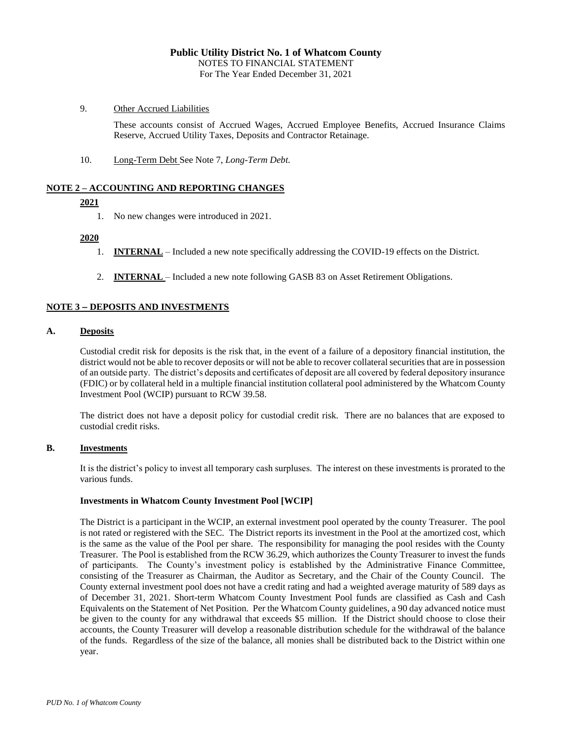### 9. Other Accrued Liabilities

These accounts consist of Accrued Wages, Accrued Employee Benefits, Accrued Insurance Claims Reserve, Accrued Utility Taxes, Deposits and Contractor Retainage.

10. Long-Term Debt See Note 7, *Long-Term Debt.*

### **NOTE 2 – ACCOUNTING AND REPORTING CHANGES**

### **2021**

1. No new changes were introduced in 2021.

### **2020**

- 1. **INTERNAL** Included a new note specifically addressing the COVID-19 effects on the District.
- 2. **INTERNAL**  Included a new note following GASB 83 on Asset Retirement Obligations.

### **NOTE 3 DEPOSITS AND INVESTMENTS**

#### **A. Deposits**

Custodial credit risk for deposits is the risk that, in the event of a failure of a depository financial institution, the district would not be able to recover deposits or will not be able to recover collateral securities that are in possession of an outside party. The district's deposits and certificates of deposit are all covered by federal depository insurance (FDIC) or by collateral held in a multiple financial institution collateral pool administered by the Whatcom County Investment Pool (WCIP) pursuant to RCW 39.58.

The district does not have a deposit policy for custodial credit risk. There are no balances that are exposed to custodial credit risks.

### **B. Investments**

It is the district's policy to invest all temporary cash surpluses. The interest on these investments is prorated to the various funds.

#### **Investments in Whatcom County Investment Pool [WCIP]**

The District is a participant in the WCIP, an external investment pool operated by the county Treasurer. The pool is not rated or registered with the SEC. The District reports its investment in the Pool at the amortized cost, which is the same as the value of the Pool per share. The responsibility for managing the pool resides with the County Treasurer. The Pool is established from the RCW 36.29, which authorizes the County Treasurer to invest the funds of participants. The County's investment policy is established by the Administrative Finance Committee, consisting of the Treasurer as Chairman, the Auditor as Secretary, and the Chair of the County Council. The County external investment pool does not have a credit rating and had a weighted average maturity of 589 days as of December 31, 2021. Short-term Whatcom County Investment Pool funds are classified as Cash and Cash Equivalents on the Statement of Net Position. Per the Whatcom County guidelines, a 90 day advanced notice must be given to the county for any withdrawal that exceeds \$5 million. If the District should choose to close their accounts, the County Treasurer will develop a reasonable distribution schedule for the withdrawal of the balance of the funds. Regardless of the size of the balance, all monies shall be distributed back to the District within one year.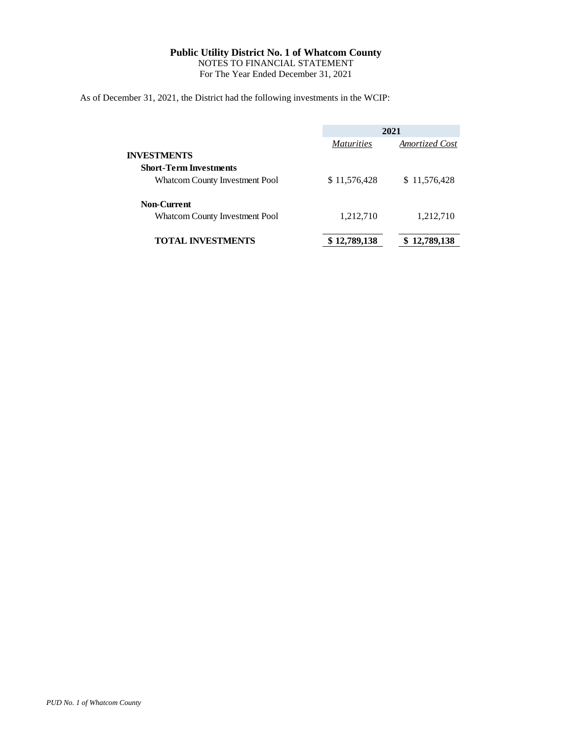For The Year Ended December 31, 2021

As of December 31, 2021, the District had the following investments in the WCIP:

|                                |                   | 2021            |
|--------------------------------|-------------------|-----------------|
|                                | <i>Maturities</i> | Amortized Cost  |
| <b>INVESTMENTS</b>             |                   |                 |
| <b>Short-Term Investments</b>  |                   |                 |
| Whatcom County Investment Pool | \$11,576,428      | \$11,576,428    |
| <b>Non-Current</b>             |                   |                 |
| Whatcom County Investment Pool | 1,212,710         | 1,212,710       |
| <b>TOTAL INVESTMENTS</b>       | \$12,789,138      | 12,789,138<br>S |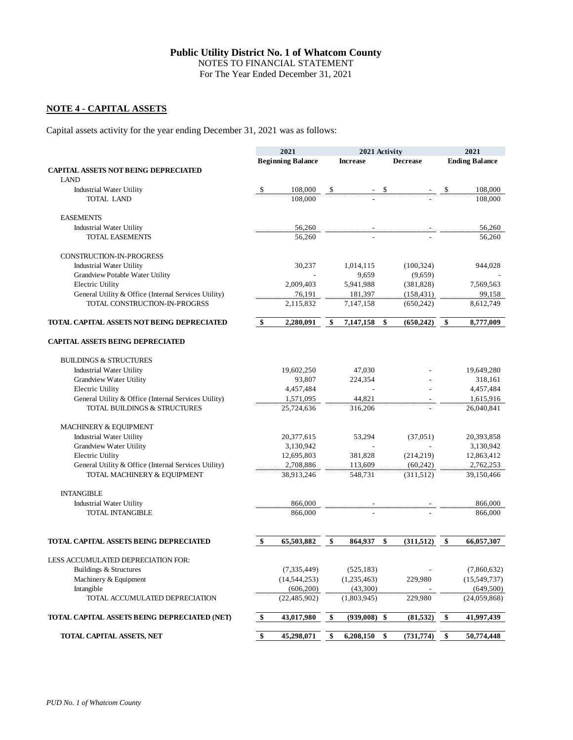For The Year Ended December 31, 2021

### **NOTE 4 - CAPITAL ASSETS**

Capital assets activity for the year ending December 31, 2021 was as follows:

|                                                      | 2021<br>2021 Activity |                              | 2021 |                         |                  |                           |
|------------------------------------------------------|-----------------------|------------------------------|------|-------------------------|------------------|---------------------------|
|                                                      |                       | <b>Beginning Balance</b>     |      | <b>Increase</b>         | <b>Decrease</b>  | <b>Ending Balance</b>     |
| <b>CAPITAL ASSETS NOT BEING DEPRECIATED</b>          |                       |                              |      |                         |                  |                           |
| <b>LAND</b>                                          |                       |                              |      |                         |                  |                           |
| <b>Industrial Water Utility</b>                      | -\$                   | 108,000                      | -\$  |                         | \$               | \$<br>108,000             |
| <b>TOTAL LAND</b>                                    |                       | 108,000                      |      |                         |                  | 108,000                   |
| <b>EASEMENTS</b>                                     |                       |                              |      |                         |                  |                           |
| <b>Industrial Water Utility</b>                      |                       | 56,260                       |      |                         |                  | 56,260                    |
| <b>TOTAL EASEMENTS</b>                               |                       | 56,260                       |      |                         |                  | 56,260                    |
| CONSTRUCTION-IN-PROGRESS                             |                       |                              |      |                         |                  |                           |
| <b>Industrial Water Utility</b>                      |                       | 30,237                       |      | 1,014,115               | (100, 324)       | 944,028                   |
| Grandview Potable Water Utility                      |                       |                              |      | 9,659                   | (9,659)          |                           |
| <b>Electric Utility</b>                              |                       | 2,009,403                    |      | 5,941,988               | (381, 828)       | 7,569,563                 |
| General Utility & Office (Internal Services Utility) |                       | 76,191                       |      | 181,397                 | (158, 431)       | 99,158                    |
| TOTAL CONSTRUCTION-IN-PROGRSS                        |                       | 2,115,832                    |      | 7,147,158               | (650, 242)       | 8,612,749                 |
| TOTAL CAPITAL ASSETS NOT BEING DEPRECIATED           | \$                    | 2,280,091                    | \$   | 7,147,158               | \$<br>(650, 242) | \$<br>8,777,009           |
| <b>CAPITAL ASSETS BEING DEPRECIATED</b>              |                       |                              |      |                         |                  |                           |
| <b>BUILDINGS &amp; STRUCTURES</b>                    |                       |                              |      |                         |                  |                           |
| <b>Industrial Water Utility</b>                      |                       | 19,602,250                   |      | 47,030                  |                  | 19,649,280                |
| Grandview Water Utility                              |                       | 93,807                       |      | 224,354                 |                  | 318,161                   |
| Electric Utility                                     |                       | 4,457,484                    |      |                         |                  | 4,457,484                 |
| General Utility & Office (Internal Services Utility) |                       | 1,571,095                    |      | 44,821                  |                  | 1,615,916                 |
| TOTAL BUILDINGS & STRUCTURES                         |                       | 25,724,636                   |      | 316,206                 |                  | 26,040,841                |
| MACHINERY & EQUIPMENT                                |                       |                              |      |                         |                  |                           |
| <b>Industrial Water Utility</b>                      |                       | 20,377,615                   |      | 53,294                  | (37,051)         | 20,393,858                |
| Grandview Water Utility                              |                       | 3,130,942                    |      |                         |                  | 3,130,942                 |
| Electric Utility                                     |                       | 12,695,803                   |      | 381,828                 | (214, 219)       | 12,863,412                |
| General Utility & Office (Internal Services Utility) |                       | 2,708,886                    |      | 113,609                 | (60, 242)        | 2,762,253                 |
| TOTAL MACHINERY & EQUIPMENT                          |                       | 38,913,246                   |      | 548,731                 | (311,512)        | 39,150,466                |
| <b>INTANGIBLE</b>                                    |                       |                              |      |                         |                  |                           |
| <b>Industrial Water Utility</b>                      |                       | 866,000                      |      |                         |                  | 866,000                   |
| <b>TOTAL INTANGIBLE</b>                              |                       | 866,000                      |      |                         |                  | 866,000                   |
| TOTAL CAPITAL ASSETS BEING DEPRECIATED               | \$                    | 65,503,882                   | \$   | 864,937                 | \$<br>(311,512)  | \$<br>66,057,307          |
|                                                      |                       |                              |      |                         |                  |                           |
| LESS ACCUMULATED DEPRECIATION FOR:                   |                       |                              |      |                         |                  |                           |
| Buildings & Structures                               |                       | (7, 335, 449)                |      | (525, 183)              |                  | (7,860,632)               |
| Machinery & Equipment                                |                       | (14, 544, 253)               |      | (1,235,463)             | 229,980          | (15,549,737)              |
| Intangible<br>TOTAL ACCUMULATED DEPRECIATION         |                       | (606, 200)<br>(22, 485, 902) |      | (43,300)<br>(1,803,945) | 229,980          | (649,500)<br>(24,059,868) |
|                                                      |                       |                              |      |                         |                  |                           |
| TOTAL CAPITAL ASSETS BEING DEPRECIATED (NET)         | \$                    | 43,017,980                   | \$   | (939,008)               | \$<br>(81, 532)  | \$<br>41,997,439          |
| TOTAL CAPITAL ASSETS, NET                            | \$                    | 45,298,071                   | \$   | 6,208,150               | \$<br>(731, 774) | \$<br>50,774,448          |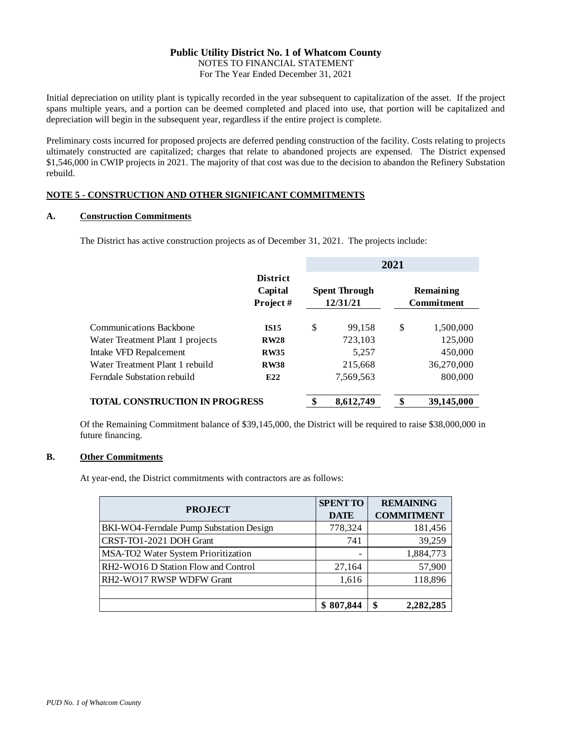For The Year Ended December 31, 2021

Initial depreciation on utility plant is typically recorded in the year subsequent to capitalization of the asset. If the project spans multiple years, and a portion can be deemed completed and placed into use, that portion will be capitalized and depreciation will begin in the subsequent year, regardless if the entire project is complete.

Preliminary costs incurred for proposed projects are deferred pending construction of the facility. Costs relating to projects ultimately constructed are capitalized; charges that relate to abandoned projects are expensed. The District expensed \$1,546,000 in CWIP projects in 2021. The majority of that cost was due to the decision to abandon the Refinery Substation rebuild.

### **NOTE 5 - CONSTRUCTION AND OTHER SIGNIFICANT COMMITMENTS**

### **A. Construction Commitments**

The District has active construction projects as of December 31, 2021. The projects include:

|                                       |                                        | 2021 |                                  |                                |            |  |
|---------------------------------------|----------------------------------------|------|----------------------------------|--------------------------------|------------|--|
|                                       | <b>District</b><br>Capital<br>Project# |      | <b>Spent Through</b><br>12/31/21 | Remaining<br><b>Commitment</b> |            |  |
| <b>Communications Backbone</b>        | <b>IS15</b>                            | \$   | 99,158                           | \$                             | 1,500,000  |  |
| Water Treatment Plant 1 projects      | <b>RW28</b>                            |      | 723,103                          |                                | 125,000    |  |
| Intake VFD Repalcement                | <b>RW35</b>                            |      | 5,257                            |                                | 450,000    |  |
| Water Treatment Plant 1 rebuild       | <b>RW38</b>                            |      | 215,668                          |                                | 36,270,000 |  |
| Ferndale Substation rebuild           | E22                                    |      | 7,569,563                        |                                | 800,000    |  |
| <b>TOTAL CONSTRUCTION IN PROGRESS</b> |                                        |      | 8,612,749                        | \$                             | 39,145,000 |  |

Of the Remaining Commitment balance of \$39,145,000, the District will be required to raise \$38,000,000 in future financing.

### **B. Other Commitments**

At year-end, the District commitments with contractors are as follows:

| <b>PROJECT</b>                          | <b>SPENT TO</b> | <b>REMAINING</b>  |
|-----------------------------------------|-----------------|-------------------|
|                                         | <b>DATE</b>     | <b>COMMITMENT</b> |
| BKI-WO4-Ferndale Pump Substation Design | 778,324         | 181,456           |
| CRST-TO1-2021 DOH Grant                 | 741             | 39,259            |
| MSA-TO2 Water System Prioritization     |                 | 1,884,773         |
| RH2-WO16 D Station Flow and Control     | 27,164          | 57,900            |
| RH2-WO17 RWSP WDFW Grant                | 1,616           | 118,896           |
|                                         |                 |                   |
|                                         | \$807,844       | \$<br>2,282,285   |
|                                         |                 |                   |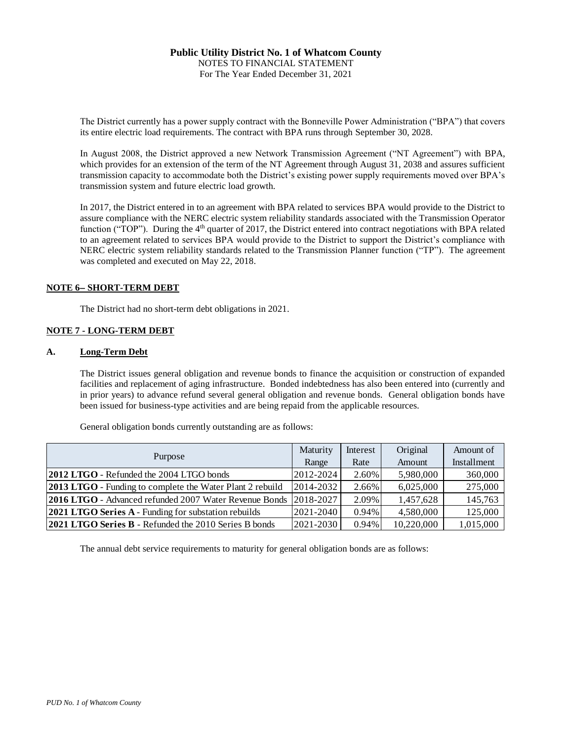The District currently has a power supply contract with the Bonneville Power Administration ("BPA") that covers its entire electric load requirements. The contract with BPA runs through September 30, 2028.

In August 2008, the District approved a new Network Transmission Agreement ("NT Agreement") with BPA, which provides for an extension of the term of the NT Agreement through August 31, 2038 and assures sufficient transmission capacity to accommodate both the District's existing power supply requirements moved over BPA's transmission system and future electric load growth.

In 2017, the District entered in to an agreement with BPA related to services BPA would provide to the District to assure compliance with the NERC electric system reliability standards associated with the Transmission Operator function ("TOP"). During the  $4<sup>th</sup>$  quarter of 2017, the District entered into contract negotiations with BPA related to an agreement related to services BPA would provide to the District to support the District's compliance with NERC electric system reliability standards related to the Transmission Planner function ("TP"). The agreement was completed and executed on May 22, 2018.

### **NOTE 6- SHORT-TERM DEBT**

The District had no short-term debt obligations in 2021.

### **NOTE 7 - LONG-TERM DEBT**

### **A. Long-Term Debt**

The District issues general obligation and revenue bonds to finance the acquisition or construction of expanded facilities and replacement of aging infrastructure. Bonded indebtedness has also been entered into (currently and in prior years) to advance refund several general obligation and revenue bonds. General obligation bonds have been issued for business-type activities and are being repaid from the applicable resources.

General obligation bonds currently outstanding are as follows:

|                                                                  | Maturity  | Interest | Original   | Amount of   |
|------------------------------------------------------------------|-----------|----------|------------|-------------|
| Purpose                                                          | Range     | Rate     | Amount     | Installment |
| <b>2012 LTGO</b> - Refunded the 2004 LTGO bonds                  | 2012-2024 | 2.60%    | 5,980,000  | 360,000     |
| <b>2013 LTGO</b> - Funding to complete the Water Plant 2 rebuild | 2014-2032 | 2.66%    | 6,025,000  | 275,000     |
| 2016 LTGO - Advanced refunded 2007 Water Revenue Bonds 2018-2027 |           | $2.09\%$ | 1,457,628  | 145,763     |
| <b>2021 LTGO Series A - Funding for substation rebuilds</b>      | 2021-2040 | 0.94%    | 4,580,000  | 125,000     |
| <b>2021 LTGO Series B</b> - Refunded the 2010 Series B bonds     | 2021-2030 | 0.94%    | 10,220,000 | 1,015,000   |

The annual debt service requirements to maturity for general obligation bonds are as follows: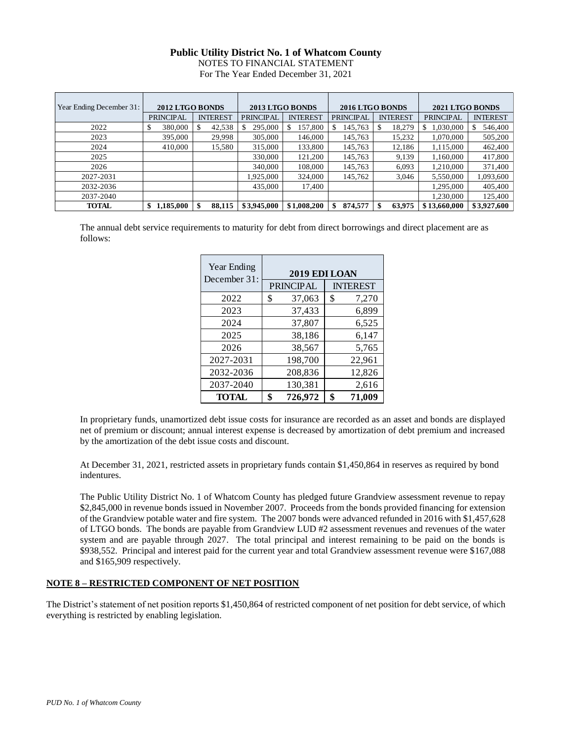NOTES TO FINANCIAL STATEMENT

For The Year Ended December 31, 2021

| Year Ending December 31: | 2012 LTGO BONDS  |                 |                  | 2013 LTGO BONDS |                  | 2016 LTGO BONDS | 2021 LTGO BONDS  |                 |
|--------------------------|------------------|-----------------|------------------|-----------------|------------------|-----------------|------------------|-----------------|
|                          | <b>PRINCIPAL</b> | <b>INTEREST</b> | <b>PRINCIPAL</b> | <b>INTEREST</b> | <b>PRINCIPAL</b> | <b>INTEREST</b> | <b>PRINCIPAL</b> | <b>INTEREST</b> |
| 2022                     | 380,000          | 42,538          | 295,000          | 157,800<br>S    | 145,763          | 18,279          | 1,030,000<br>S.  | 546,400<br>S.   |
| 2023                     | 395,000          | 29,998          | 305,000          | 146,000         | 145,763          | 15,232          | 1,070,000        | 505,200         |
| 2024                     | 410,000          | 15,580          | 315,000          | 133,800         | 145,763          | 12,186          | 1,115,000        | 462,400         |
| 2025                     |                  |                 | 330,000          | 121,200         | 145,763          | 9,139           | 1,160,000        | 417,800         |
| 2026                     |                  |                 | 340,000          | 108,000         | 145,763          | 6,093           | 1.210.000        | 371,400         |
| 2027-2031                |                  |                 | 1,925,000        | 324,000         | 145,762          | 3,046           | 5,550,000        | 1,093,600       |
| 2032-2036                |                  |                 | 435,000          | 17,400          |                  |                 | 1,295,000        | 405,400         |
| 2037-2040                |                  |                 |                  |                 |                  |                 | 1,230,000        | 125,400         |
| <b>TOTAL</b>             | 1,185,000<br>\$  | 88,115          | \$3,945,000      | \$1,008,200     | 874,577<br>\$    | 63,975          | \$13,660,000     | \$3,927,600     |

The annual debt service requirements to maturity for debt from direct borrowings and direct placement are as follows:

| Year Ending<br>December 31: | 2019 EDI LOAN                       |    |        |  |  |  |  |  |  |
|-----------------------------|-------------------------------------|----|--------|--|--|--|--|--|--|
|                             | <b>PRINCIPAL</b><br><b>INTEREST</b> |    |        |  |  |  |  |  |  |
| 2022                        | \$<br>37,063                        | \$ | 7,270  |  |  |  |  |  |  |
| 2023                        | 37,433                              |    | 6,899  |  |  |  |  |  |  |
| 2024                        | 37,807                              |    | 6,525  |  |  |  |  |  |  |
| 2025                        | 38,186                              |    | 6,147  |  |  |  |  |  |  |
| 2026                        | 38,567                              |    | 5,765  |  |  |  |  |  |  |
| 2027-2031                   | 198,700                             |    | 22,961 |  |  |  |  |  |  |
| 2032-2036                   | 208,836                             |    | 12,826 |  |  |  |  |  |  |
| 2037-2040                   | 130,381                             |    | 2,616  |  |  |  |  |  |  |
| <b>TOTAL</b>                | \$<br>726,972                       | \$ | 71,009 |  |  |  |  |  |  |

In proprietary funds, unamortized debt issue costs for insurance are recorded as an asset and bonds are displayed net of premium or discount; annual interest expense is decreased by amortization of debt premium and increased by the amortization of the debt issue costs and discount.

At December 31, 2021, restricted assets in proprietary funds contain \$1,450,864 in reserves as required by bond indentures.

The Public Utility District No. 1 of Whatcom County has pledged future Grandview assessment revenue to repay \$2,845,000 in revenue bonds issued in November 2007. Proceeds from the bonds provided financing for extension of the Grandview potable water and fire system. The 2007 bonds were advanced refunded in 2016 with \$1,457,628 of LTGO bonds. The bonds are payable from Grandview LUD #2 assessment revenues and revenues of the water system and are payable through 2027. The total principal and interest remaining to be paid on the bonds is \$938,552. Principal and interest paid for the current year and total Grandview assessment revenue were \$167,088 and \$165,909 respectively.

### **NOTE 8 – RESTRICTED COMPONENT OF NET POSITION**

The District's statement of net position reports \$1,450,864 of restricted component of net position for debt service, of which everything is restricted by enabling legislation.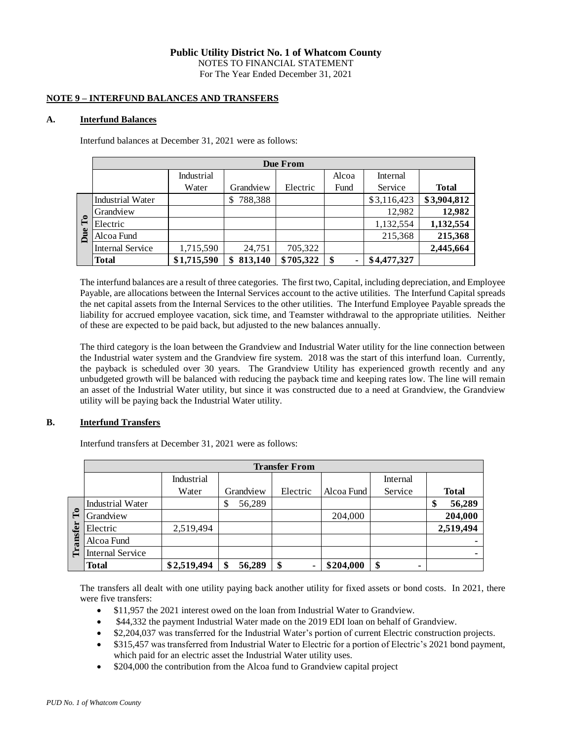### **NOTE 9 – INTERFUND BALANCES AND TRANSFERS**

### **A. Interfund Balances**

Interfund balances at December 31, 2021 were as follows:

|                |                         |             |               | Due From  |       |             |              |
|----------------|-------------------------|-------------|---------------|-----------|-------|-------------|--------------|
|                |                         | Industrial  |               |           | Alcoa | Internal    |              |
|                |                         | Water       | Grandview     | Electric  | Fund  | Service     | <b>Total</b> |
|                | <b>Industrial Water</b> |             | 788,388<br>\$ |           |       | \$3,116,423 | \$3,904,812  |
|                | Grandview               |             |               |           |       | 12,982      | 12,982       |
| $\mathbf{r}_0$ | Electric                |             |               |           |       | 1,132,554   | 1,132,554    |
| Due            | Alcoa Fund              |             |               |           |       | 215,368     | 215,368      |
|                | <b>Internal Service</b> | 1,715,590   | 24,751        | 705,322   |       |             | 2,445,664    |
|                | <b>Total</b>            | \$1,715,590 | 813,140<br>\$ | \$705,322 | \$    | \$4,477,327 |              |

The interfund balances are a result of three categories. The first two, Capital, including depreciation, and Employee Payable, are allocations between the Internal Services account to the active utilities. The Interfund Capital spreads the net capital assets from the Internal Services to the other utilities. The Interfund Employee Payable spreads the liability for accrued employee vacation, sick time, and Teamster withdrawal to the appropriate utilities. Neither of these are expected to be paid back, but adjusted to the new balances annually.

The third category is the loan between the Grandview and Industrial Water utility for the line connection between the Industrial water system and the Grandview fire system. 2018 was the start of this interfund loan. Currently, the payback is scheduled over 30 years. The Grandview Utility has experienced growth recently and any unbudgeted growth will be balanced with reducing the payback time and keeping rates low. The line will remain an asset of the Industrial Water utility, but since it was constructed due to a need at Grandview, the Grandview utility will be paying back the Industrial Water utility.

### **B. Interfund Transfers**

Interfund transfers at December 31, 2021 were as follows:

|                |                         |             |              | <b>Transfer From</b> |            |          |              |
|----------------|-------------------------|-------------|--------------|----------------------|------------|----------|--------------|
|                |                         | Industrial  |              |                      |            | Internal |              |
|                |                         | Water       | Grandview    | Electric             | Alcoa Fund | Service  | <b>Total</b> |
|                | <b>Industrial Water</b> |             | 56,289<br>\$ |                      |            |          | 56,289<br>¢  |
| $\mathbf{r}_0$ | Grandview               |             |              |                      | 204,000    |          | 204,000      |
| Transfer       | Electric                | 2,519,494   |              |                      |            |          | 2,519,494    |
|                | Alcoa Fund              |             |              |                      |            |          |              |
|                | <b>Internal Service</b> |             |              |                      |            |          |              |
|                | <b>Total</b>            | \$2,519,494 | 56,289       | \$                   | \$204,000  | \$<br>۰  |              |

The transfers all dealt with one utility paying back another utility for fixed assets or bond costs. In 2021, there were five transfers:

- \$11,957 the 2021 interest owed on the loan from Industrial Water to Grandview.
- \$44,332 the payment Industrial Water made on the 2019 EDI loan on behalf of Grandview.
- \$2,204,037 was transferred for the Industrial Water's portion of current Electric construction projects.
- \$315,457 was transferred from Industrial Water to Electric for a portion of Electric's 2021 bond payment, which paid for an electric asset the Industrial Water utility uses.
- \$204,000 the contribution from the Alcoa fund to Grandview capital project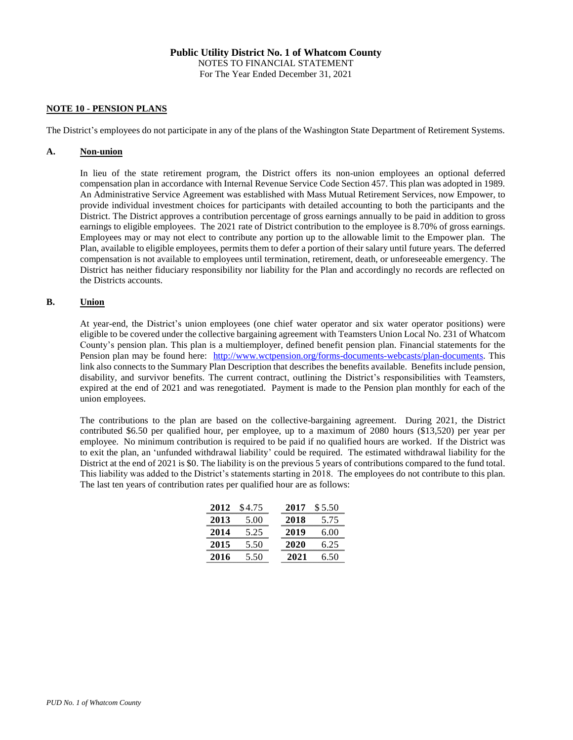### **NOTE 10 - PENSION PLANS**

The District's employees do not participate in any of the plans of the Washington State Department of Retirement Systems.

#### **A. Non-union**

In lieu of the state retirement program, the District offers its non-union employees an optional deferred compensation plan in accordance with Internal Revenue Service Code Section 457. This plan was adopted in 1989. An Administrative Service Agreement was established with Mass Mutual Retirement Services, now Empower, to provide individual investment choices for participants with detailed accounting to both the participants and the District. The District approves a contribution percentage of gross earnings annually to be paid in addition to gross earnings to eligible employees. The 2021 rate of District contribution to the employee is 8.70% of gross earnings. Employees may or may not elect to contribute any portion up to the allowable limit to the Empower plan. The Plan, available to eligible employees, permits them to defer a portion of their salary until future years. The deferred compensation is not available to employees until termination, retirement, death, or unforeseeable emergency. The District has neither fiduciary responsibility nor liability for the Plan and accordingly no records are reflected on the Districts accounts.

### **B. Union**

At year-end, the District's union employees (one chief water operator and six water operator positions) were eligible to be covered under the collective bargaining agreement with Teamsters Union Local No. 231 of Whatcom County's pension plan. This plan is a multiemployer, defined benefit pension plan. Financial statements for the Pension plan may be found here: [http://www.wctpension.org/forms-documents-webcasts/plan-documents.](http://www.wctpension.org/forms-documents-webcasts/plan-documents) This link also connects to the Summary Plan Description that describes the benefits available. Benefits include pension, disability, and survivor benefits. The current contract, outlining the District's responsibilities with Teamsters, expired at the end of 2021 and was renegotiated. Payment is made to the Pension plan monthly for each of the union employees.

The contributions to the plan are based on the collective-bargaining agreement. During 2021, the District contributed \$6.50 per qualified hour, per employee, up to a maximum of 2080 hours (\$13,520) per year per employee. No minimum contribution is required to be paid if no qualified hours are worked. If the District was to exit the plan, an 'unfunded withdrawal liability' could be required. The estimated withdrawal liability for the District at the end of 2021 is \$0. The liability is on the previous 5 years of contributions compared to the fund total. This liability was added to the District's statements starting in 2018. The employees do not contribute to this plan. The last ten years of contribution rates per qualified hour are as follows:

|                                              | 2012 \$4.75                                                                              | 2017 | \$5.50                                     |
|----------------------------------------------|------------------------------------------------------------------------------------------|------|--------------------------------------------|
| 2013                                         | 5.00                                                                                     | 2018 | 5.75                                       |
| 2014<br>,,,,,,,,,,,,,,,,,,,,,,,,,,,,,,,,,,,, | 5.25<br>,,,,,,,,,,,,,,,,,,,,,,,,,,,,,                                                    | 2019 | 6.00                                       |
| 2015                                         | 5.50<br><b><i><u>PERSONAL PROPERTY AND THE REAL PROPERTY AND REAL PROPERTY. </u></i></b> | 2020 | 6.25                                       |
| 2016                                         | 5.50<br>,,,,,,,,,,,,,,,,,,,,,,,,,,,,                                                     | 2021 | 6.50<br>,,,,,,,,,,,,,,,,,,,,,,,,,,,,,,,,,, |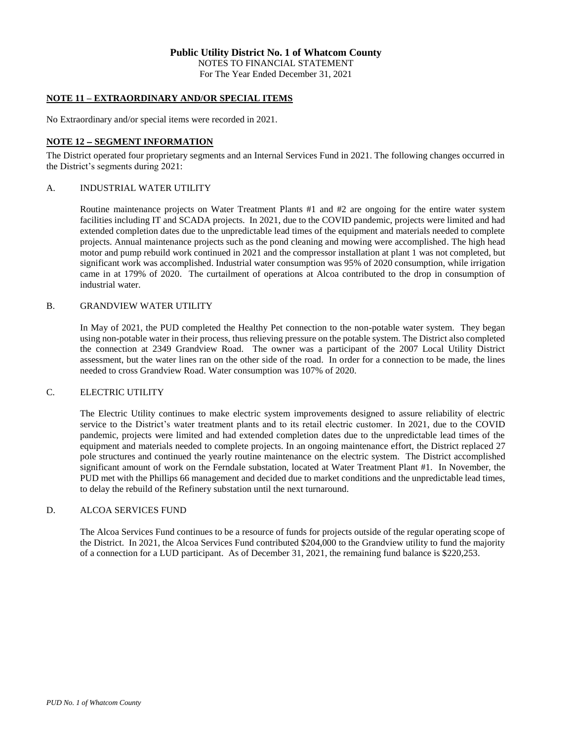## **NOTE 11 – EXTRAORDINARY AND/OR SPECIAL ITEMS**

No Extraordinary and/or special items were recorded in 2021.

#### **NOTE 12 - SEGMENT INFORMATION**

The District operated four proprietary segments and an Internal Services Fund in 2021. The following changes occurred in the District's segments during 2021:

#### A. INDUSTRIAL WATER UTILITY

Routine maintenance projects on Water Treatment Plants #1 and #2 are ongoing for the entire water system facilities including IT and SCADA projects. In 2021, due to the COVID pandemic, projects were limited and had extended completion dates due to the unpredictable lead times of the equipment and materials needed to complete projects. Annual maintenance projects such as the pond cleaning and mowing were accomplished. The high head motor and pump rebuild work continued in 2021 and the compressor installation at plant 1 was not completed, but significant work was accomplished. Industrial water consumption was 95% of 2020 consumption, while irrigation came in at 179% of 2020. The curtailment of operations at Alcoa contributed to the drop in consumption of industrial water.

#### B. GRANDVIEW WATER UTILITY

In May of 2021, the PUD completed the Healthy Pet connection to the non-potable water system. They began using non-potable water in their process, thus relieving pressure on the potable system. The District also completed the connection at 2349 Grandview Road. The owner was a participant of the 2007 Local Utility District assessment, but the water lines ran on the other side of the road. In order for a connection to be made, the lines needed to cross Grandview Road. Water consumption was 107% of 2020.

#### C. ELECTRIC UTILITY

The Electric Utility continues to make electric system improvements designed to assure reliability of electric service to the District's water treatment plants and to its retail electric customer. In 2021, due to the COVID pandemic, projects were limited and had extended completion dates due to the unpredictable lead times of the equipment and materials needed to complete projects. In an ongoing maintenance effort, the District replaced 27 pole structures and continued the yearly routine maintenance on the electric system. The District accomplished significant amount of work on the Ferndale substation, located at Water Treatment Plant #1. In November, the PUD met with the Phillips 66 management and decided due to market conditions and the unpredictable lead times, to delay the rebuild of the Refinery substation until the next turnaround.

#### D. ALCOA SERVICES FUND

The Alcoa Services Fund continues to be a resource of funds for projects outside of the regular operating scope of the District. In 2021, the Alcoa Services Fund contributed \$204,000 to the Grandview utility to fund the majority of a connection for a LUD participant. As of December 31, 2021, the remaining fund balance is \$220,253.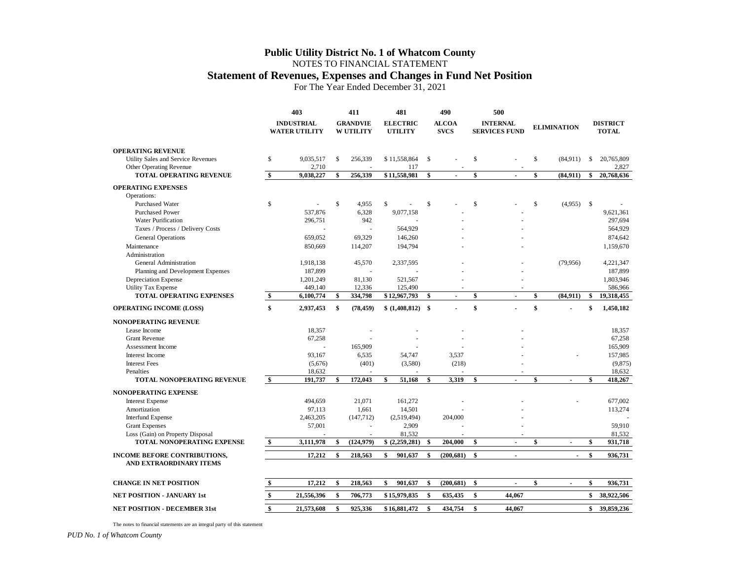### **Statement of Revenues, Expenses and Changes in Fund Net Position**

For The Year Ended December 31, 2021

|                                                               |               | 403                                       |                    | 411                                 | 481                               |                    | 490                         | 500                                     |              |                    |                                 |
|---------------------------------------------------------------|---------------|-------------------------------------------|--------------------|-------------------------------------|-----------------------------------|--------------------|-----------------------------|-----------------------------------------|--------------|--------------------|---------------------------------|
|                                                               |               | <b>INDUSTRIAL</b><br><b>WATER UTILITY</b> |                    | <b>GRANDVIE</b><br><b>W UTILITY</b> | <b>ELECTRIC</b><br><b>UTILITY</b> |                    | <b>ALCOA</b><br><b>SVCS</b> | <b>INTERNAL</b><br><b>SERVICES FUND</b> |              | <b>ELIMINATION</b> | <b>DISTRICT</b><br><b>TOTAL</b> |
| <b>OPERATING REVENUE</b>                                      |               |                                           |                    |                                     |                                   |                    |                             |                                         |              |                    |                                 |
| Utility Sales and Service Revenues<br>Other Operating Revenue | \$            | 9,035,517<br>2,710                        | \$                 | 256,339                             | \$11,558,864<br>117               | $\mathbf S$        |                             | \$                                      | $\mathbb{S}$ | (84,911)           | \$<br>20,765,809<br>2,827       |
| TOTAL OPERATING REVENUE                                       | \$            | 9,038,227                                 | \$                 | 256,339                             | \$11,558,981                      | \$                 |                             | \$                                      | \$           | (84, 911)          | \$<br>20,768,636                |
| <b>OPERATING EXPENSES</b>                                     |               |                                           |                    |                                     |                                   |                    |                             |                                         |              |                    |                                 |
| Operations:                                                   |               |                                           |                    |                                     |                                   |                    |                             |                                         |              |                    |                                 |
| <b>Purchased Water</b>                                        | \$            |                                           | \$                 | 4.955                               | $\mathsf{\$}$                     | $\mathbf S$        |                             | \$                                      | \$           | $(4.955)$ \$       |                                 |
| <b>Purchased Power</b>                                        |               | 537,876                                   |                    | 6,328                               | 9,077,158                         |                    |                             |                                         |              |                    | 9,621,361                       |
| <b>Water Purification</b>                                     |               | 296,751                                   |                    | 942                                 |                                   |                    |                             |                                         |              |                    | 297,694                         |
| Taxes / Process / Delivery Costs                              |               |                                           |                    | ÷,                                  | 564,929                           |                    |                             |                                         |              |                    | 564,929                         |
| <b>General Operations</b>                                     |               | 659,052                                   |                    | 69,329                              | 146,260                           |                    |                             |                                         |              |                    | 874,642                         |
| Maintenance                                                   |               | 850,669                                   |                    | 114,207                             | 194,794                           |                    |                             |                                         |              |                    | 1,159,670                       |
| Administration                                                |               |                                           |                    |                                     |                                   |                    |                             |                                         |              |                    |                                 |
| General Administration                                        |               | 1,918,138                                 |                    | 45,570                              | 2,337,595                         |                    |                             |                                         |              | (79,956)           | 4,221,347                       |
| Planning and Development Expenses                             |               | 187,899                                   |                    |                                     |                                   |                    |                             |                                         |              |                    | 187,899                         |
| Depreciation Expense                                          |               | 1,201,249                                 |                    | 81,130                              | 521,567                           |                    |                             |                                         |              |                    | 1,803,946                       |
| <b>Utility Tax Expense</b>                                    |               | 449,140                                   |                    | 12,336                              | 125,490                           |                    |                             |                                         |              |                    | 586,966                         |
| <b>TOTAL OPERATING EXPENSES</b>                               | \$            | 6,100,774                                 | \$                 | 334,798                             | \$12,967,793                      | \$                 | $\blacksquare$              | \$<br>$\overline{\phantom{a}}$          | \$           | (84, 911)          | \$<br>19,318,455                |
| <b>OPERATING INCOME (LOSS)</b>                                | \$            | 2,937,453                                 | \$                 | (78, 459)                           | \$(1,408,812)                     | -\$                |                             | \$                                      | \$           |                    | \$<br>1,450,182                 |
| <b>NONOPERATING REVENUE</b>                                   |               |                                           |                    |                                     |                                   |                    |                             |                                         |              |                    |                                 |
| Lease Income                                                  |               | 18,357                                    |                    |                                     |                                   |                    |                             |                                         |              |                    | 18,357                          |
| <b>Grant Revenue</b>                                          |               | 67,258                                    |                    |                                     |                                   |                    |                             |                                         |              |                    | 67,258                          |
| Assessment Income                                             |               |                                           |                    | 165,909                             |                                   |                    |                             |                                         |              |                    | 165,909                         |
| Interest Income                                               |               | 93,167                                    |                    | 6,535                               | 54,747                            |                    | 3,537                       |                                         |              |                    | 157,985                         |
| <b>Interest Fees</b>                                          |               | (5,676)                                   |                    | (401)                               | (3,580)                           |                    | (218)                       |                                         |              |                    | (9,875)                         |
| Penalties                                                     |               |                                           |                    |                                     |                                   |                    |                             |                                         |              |                    |                                 |
| <b>TOTAL NONOPERATING REVENUE</b>                             | $\mathbf{\$}$ | 18,632<br>191,737                         | \$                 | 172,043                             | 51,168<br>\$                      | $\mathbf{\hat{s}}$ | 3,319                       | \$                                      | \$           |                    | \$<br>18,632<br>418,267         |
|                                                               |               |                                           |                    |                                     |                                   |                    |                             |                                         |              |                    |                                 |
| NONOPERATING EXPENSE                                          |               |                                           |                    |                                     |                                   |                    |                             |                                         |              |                    |                                 |
| <b>Interest Expense</b>                                       |               | 494,659                                   |                    | 21.071                              | 161,272                           |                    |                             |                                         |              |                    | 677,002                         |
| Amortization                                                  |               | 97,113                                    |                    | 1,661                               | 14,501                            |                    |                             |                                         |              |                    | 113,274                         |
| <b>Interfund Expense</b>                                      |               | 2,463,205                                 |                    | (147, 712)                          | (2,519,494)                       |                    | 204,000                     |                                         |              |                    |                                 |
| <b>Grant Expenses</b>                                         |               | 57,001                                    |                    | $\overline{\phantom{a}}$            | 2,909                             |                    |                             |                                         |              |                    | 59,910                          |
| Loss (Gain) on Property Disposal                              |               |                                           |                    |                                     | 81,532                            |                    |                             |                                         |              |                    | 81,532                          |
| <b>TOTAL NONOPERATING EXPENSE</b>                             | \$            | 3,111,978                                 | \$                 | (124, 979)                          | \$ (2,259,281)                    | -\$                | 204,000                     | \$                                      | \$           | ÷,                 | \$<br>931,718                   |
| <b>INCOME BEFORE CONTRIBUTIONS,</b>                           |               | 17,212                                    | $\mathbf{\hat{s}}$ | 218,563                             | \$<br>901,637                     | \$                 | (200, 681)                  | \$<br>$\mathbf{r}$                      |              | $\overline{a}$     | \$<br>936,731                   |
| AND EXTRAORDINARY ITEMS                                       |               |                                           |                    |                                     |                                   |                    |                             |                                         |              |                    |                                 |
| <b>CHANGE IN NET POSITION</b>                                 | \$            | 17,212                                    | \$                 | 218,563                             | 901.637<br>\$                     | \$                 | (200, 681)                  | \$                                      | \$           |                    | \$<br>936,731                   |
| <b>NET POSITION - JANUARY 1st</b>                             | \$            | 21,556,396                                | \$                 | 706,773                             | \$15,979,835                      | \$                 | 635,435                     | \$<br>44.067                            |              |                    | \$<br>38,922,506                |
| <b>NET POSITION - DECEMBER 31st</b>                           | \$            | 21,573,608                                | \$                 | 925,336                             | \$16,881,472                      | $\mathbf{s}$       | 434,754                     | \$<br>44,067                            |              |                    | \$39,859,236                    |

The notes to financial statements are an integral party of this statement

*PUD No. 1 of Whatcom County*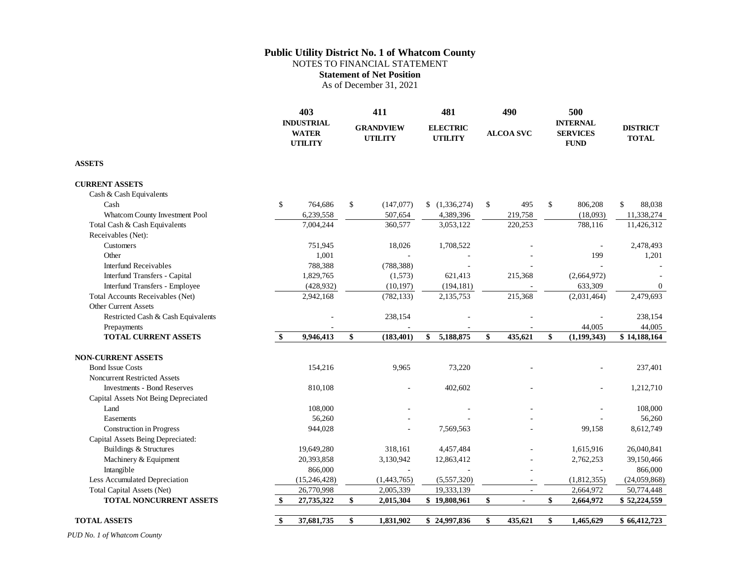NOTES TO FINANCIAL STATEMENT

**Statement of Net Position**

As of December 31, 2021

|                                      | 403<br><b>INDUSTRIAL</b><br><b>WATER</b><br><b>UTILITY</b> | 411<br><b>GRANDVIEW</b><br><b>UTILITY</b> | 481<br><b>ELECTRIC</b><br><b>UTILITY</b> | 490<br><b>ALCOA SVC</b> | 500<br><b>INTERNAL</b><br><b>SERVICES</b><br><b>FUND</b> |             | <b>DISTRICT</b><br><b>TOTAL</b> |
|--------------------------------------|------------------------------------------------------------|-------------------------------------------|------------------------------------------|-------------------------|----------------------------------------------------------|-------------|---------------------------------|
| <b>ASSETS</b>                        |                                                            |                                           |                                          |                         |                                                          |             |                                 |
| <b>CURRENT ASSETS</b>                |                                                            |                                           |                                          |                         |                                                          |             |                                 |
| Cash & Cash Equivalents              |                                                            |                                           |                                          |                         |                                                          |             |                                 |
| Cash                                 | \$<br>764,686                                              | \$<br>(147,077)                           | (1,336,274)                              | \$<br>495               | \$                                                       | 806,208     | \$<br>88,038                    |
| Whatcom County Investment Pool       | 6,239,558                                                  | 507,654                                   | 4,389,396                                | 219,758                 |                                                          | (18,093)    | 11,338,274                      |
| Total Cash & Cash Equivalents        | 7,004,244                                                  | 360,577                                   | 3,053,122                                | 220,253                 |                                                          | 788,116     | 11,426,312                      |
| Receivables (Net):                   |                                                            |                                           |                                          |                         |                                                          |             |                                 |
| Customers                            | 751,945                                                    | 18,026                                    | 1,708,522                                |                         |                                                          |             | 2,478,493                       |
| Other                                | 1,001                                                      |                                           |                                          |                         |                                                          | 199         | 1,201                           |
| <b>Interfund Receivables</b>         | 788,388                                                    | (788, 388)                                |                                          |                         |                                                          |             |                                 |
| Interfund Transfers - Capital        | 1,829,765                                                  | (1,573)                                   | 621,413                                  | 215,368                 |                                                          | (2,664,972) |                                 |
| Interfund Transfers - Employee       | (428, 932)                                                 | (10, 197)                                 | (194, 181)                               |                         |                                                          | 633,309     | $\overline{0}$                  |
| Total Accounts Receivables (Net)     | 2,942,168                                                  | (782, 133)                                | 2,135,753                                | 215,368                 |                                                          | (2,031,464) | 2,479,693                       |
| <b>Other Current Assets</b>          |                                                            |                                           |                                          |                         |                                                          |             |                                 |
| Restricted Cash & Cash Equivalents   |                                                            | 238,154                                   |                                          |                         |                                                          |             | 238.154                         |
| Prepayments                          |                                                            |                                           |                                          |                         |                                                          | 44,005      | 44,005                          |
| <b>TOTAL CURRENT ASSETS</b>          | \$<br>9,946,413                                            | \$<br>(183, 401)                          | 5,188,875<br>\$                          | \$<br>435,621           | \$                                                       | (1,199,343) | \$14,188,164                    |
| <b>NON-CURRENT ASSETS</b>            |                                                            |                                           |                                          |                         |                                                          |             |                                 |
| <b>Bond Issue Costs</b>              | 154,216                                                    | 9,965                                     | 73,220                                   |                         |                                                          |             | 237,401                         |
| Noncurrent Restricted Assets         |                                                            |                                           |                                          |                         |                                                          |             |                                 |
| <b>Investments - Bond Reserves</b>   | 810,108                                                    |                                           | 402,602                                  |                         |                                                          |             | 1,212,710                       |
| Capital Assets Not Being Depreciated |                                                            |                                           |                                          |                         |                                                          |             |                                 |
| Land                                 | 108,000                                                    |                                           |                                          |                         |                                                          |             | 108,000                         |
| Easements                            | 56,260                                                     |                                           |                                          |                         |                                                          |             | 56,260                          |
| <b>Construction in Progress</b>      | 944,028                                                    |                                           | 7,569,563                                |                         |                                                          | 99,158      | 8,612,749                       |
| Capital Assets Being Depreciated:    |                                                            |                                           |                                          |                         |                                                          |             |                                 |
| <b>Buildings &amp; Structures</b>    | 19,649,280                                                 | 318,161                                   | 4,457,484                                |                         |                                                          | 1,615,916   | 26,040,841                      |
| Machinery & Equipment                | 20,393,858                                                 | 3,130,942                                 | 12,863,412                               |                         |                                                          | 2,762,253   | 39,150,466                      |
| Intangible                           | 866,000                                                    |                                           |                                          |                         |                                                          |             | 866,000                         |
| Less Accumulated Depreciation        | (15, 246, 428)                                             | (1,443,765)                               | (5,557,320)                              |                         |                                                          | (1,812,355) | (24,059,868)                    |
| Total Capital Assets (Net)           | 26,770,998                                                 | 2,005,339                                 | 19,333,139                               | $\sim$                  |                                                          | 2,664,972   | 50,774,448                      |
| <b>TOTAL NONCURRENT ASSETS</b>       | \$<br>27,735,322                                           | \$<br>2,015,304                           | \$19,808,961                             | \$<br>$\blacksquare$    | \$                                                       | 2,664,972   | \$52,224,559                    |
|                                      |                                                            |                                           |                                          |                         |                                                          |             |                                 |
| <b>TOTAL ASSETS</b>                  | \$<br>37,681,735                                           | \$<br>1,831,902                           | \$24,997,836                             | \$<br>435,621           | \$                                                       | 1,465,629   | \$66,412,723                    |

*PUD No. 1 of Whatcom County*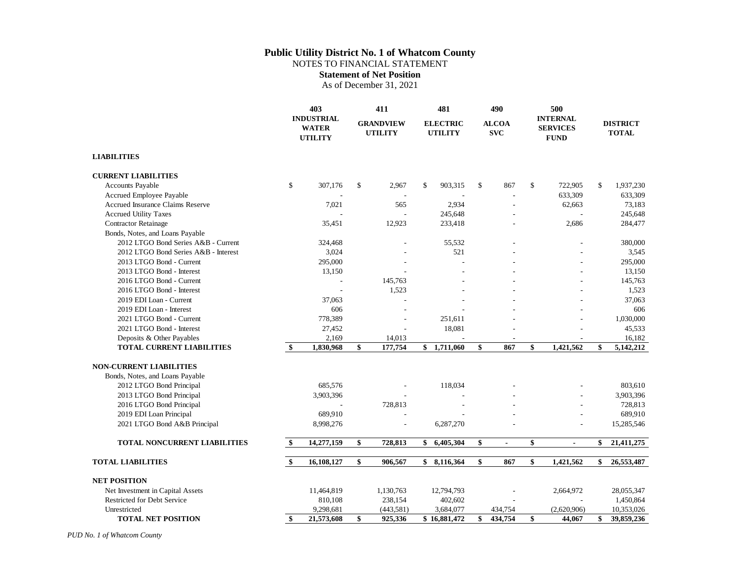NOTES TO FINANCIAL STATEMENT

**Statement of Net Position**

As of December 31, 2021

|                                         | 403<br><b>INDUSTRIAL</b><br><b>WATER</b><br><b>UTILITY</b> |            |                                    | 411       | 481                               |                            | 490            |                                                   | 500            |                                 |
|-----------------------------------------|------------------------------------------------------------|------------|------------------------------------|-----------|-----------------------------------|----------------------------|----------------|---------------------------------------------------|----------------|---------------------------------|
|                                         |                                                            |            | <b>GRANDVIEW</b><br><b>UTILITY</b> |           | <b>ELECTRIC</b><br><b>UTILITY</b> | <b>ALCOA</b><br><b>SVC</b> |                | <b>INTERNAL</b><br><b>SERVICES</b><br><b>FUND</b> |                | <b>DISTRICT</b><br><b>TOTAL</b> |
| <b>LIABILITIES</b>                      |                                                            |            |                                    |           |                                   |                            |                |                                                   |                |                                 |
| <b>CURRENT LIABILITIES</b>              |                                                            |            |                                    |           |                                   |                            |                |                                                   |                |                                 |
| Accounts Payable                        | \$                                                         | 307,176    | \$                                 | 2,967     | \$<br>903,315                     | \$                         | 867            | \$                                                | 722,905        | \$<br>1,937,230                 |
| Accrued Employee Payable                |                                                            |            |                                    |           |                                   |                            |                |                                                   | 633,309        | 633,309                         |
| <b>Accrued Insurance Claims Reserve</b> |                                                            | 7,021      |                                    | 565       | 2,934                             |                            |                |                                                   | 62,663         | 73,183                          |
| <b>Accrued Utility Taxes</b>            |                                                            |            |                                    |           | 245,648                           |                            |                |                                                   |                | 245,648                         |
| <b>Contractor Retainage</b>             |                                                            | 35,451     |                                    | 12,923    | 233,418                           |                            |                |                                                   | 2,686          | 284,477                         |
| Bonds, Notes, and Loans Payable         |                                                            |            |                                    |           |                                   |                            |                |                                                   |                |                                 |
| 2012 LTGO Bond Series A&B - Current     |                                                            | 324,468    |                                    |           | 55.532                            |                            |                |                                                   |                | 380,000                         |
| 2012 LTGO Bond Series A&B - Interest    |                                                            | 3,024      |                                    |           | 521                               |                            |                |                                                   |                | 3,545                           |
| 2013 LTGO Bond - Current                |                                                            | 295,000    |                                    |           |                                   |                            |                |                                                   |                | 295,000                         |
| 2013 LTGO Bond - Interest               |                                                            | 13,150     |                                    |           |                                   |                            |                |                                                   |                | 13,150                          |
| 2016 LTGO Bond - Current                |                                                            |            |                                    | 145,763   |                                   |                            |                |                                                   |                | 145,763                         |
| 2016 LTGO Bond - Interest               |                                                            |            |                                    | 1,523     |                                   |                            |                |                                                   |                | 1,523                           |
| 2019 EDI Loan - Current                 |                                                            | 37,063     |                                    |           |                                   |                            |                |                                                   |                | 37,063                          |
| 2019 EDI Loan - Interest                |                                                            | 606        |                                    |           |                                   |                            |                |                                                   |                | 606                             |
| 2021 LTGO Bond - Current                |                                                            | 778,389    |                                    |           | 251.611                           |                            |                |                                                   |                | 1,030,000                       |
| 2021 LTGO Bond - Interest               |                                                            | 27,452     |                                    |           | 18,081                            |                            |                |                                                   |                | 45,533                          |
| Deposits & Other Payables               |                                                            | 2,169      |                                    | 14,013    |                                   |                            |                |                                                   |                | 16,182                          |
| <b>TOTAL CURRENT LIABILITIES</b>        | <sup>\$</sup>                                              | 1,830,968  | \$                                 | 177,754   | \$1,711,060                       | \$                         | 867            | \$                                                | 1,421,562      | \$<br>5,142,212                 |
| <b>NON-CURRENT LIABILITIES</b>          |                                                            |            |                                    |           |                                   |                            |                |                                                   |                |                                 |
| Bonds, Notes, and Loans Payable         |                                                            |            |                                    |           |                                   |                            |                |                                                   |                |                                 |
| 2012 LTGO Bond Principal                |                                                            | 685,576    |                                    |           | 118,034                           |                            |                |                                                   |                | 803,610                         |
| 2013 LTGO Bond Principal                |                                                            | 3,903,396  |                                    |           |                                   |                            |                |                                                   |                | 3,903,396                       |
| 2016 LTGO Bond Principal                |                                                            |            |                                    | 728,813   |                                   |                            |                |                                                   |                | 728,813                         |
| 2019 EDI Loan Principal                 |                                                            | 689,910    |                                    |           |                                   |                            |                |                                                   |                | 689,910                         |
| 2021 LTGO Bond A&B Principal            |                                                            | 8,998,276  |                                    |           | 6,287,270                         |                            |                |                                                   |                | 15,285,546                      |
| <b>TOTAL NONCURRENT LIABILITIES</b>     | \$                                                         | 14,277,159 | \$                                 | 728,813   | \$<br>6,405,304                   | \$                         | $\blacksquare$ | \$                                                | $\blacksquare$ | \$<br>21,411,275                |
| <b>TOTAL LIABILITIES</b>                | \$                                                         | 16,108,127 | $\boldsymbol{\hat{S}}$             | 906,567   | \$<br>8,116,364                   | \$                         | 867            | \$                                                | 1,421,562      | \$<br>26,553,487                |
| <b>NET POSITION</b>                     |                                                            |            |                                    |           |                                   |                            |                |                                                   |                |                                 |
| Net Investment in Capital Assets        |                                                            | 11,464,819 |                                    | 1,130,763 | 12,794,793                        |                            |                |                                                   | 2,664,972      | 28,055,347                      |
| Restricted for Debt Service             |                                                            | 810,108    |                                    | 238,154   | 402,602                           |                            |                |                                                   |                | 1,450,864                       |
| Unrestricted                            |                                                            | 9,298,681  |                                    | (443,581) | 3,684,077                         |                            | 434,754        |                                                   | (2,620,906)    | 10,353,026                      |
| <b>TOTAL NET POSITION</b>               | \$                                                         | 21,573,608 | \$                                 | 925,336   | \$16,881,472                      | \$                         | 434,754        | \$                                                | 44,067         | \$<br>39,859,236                |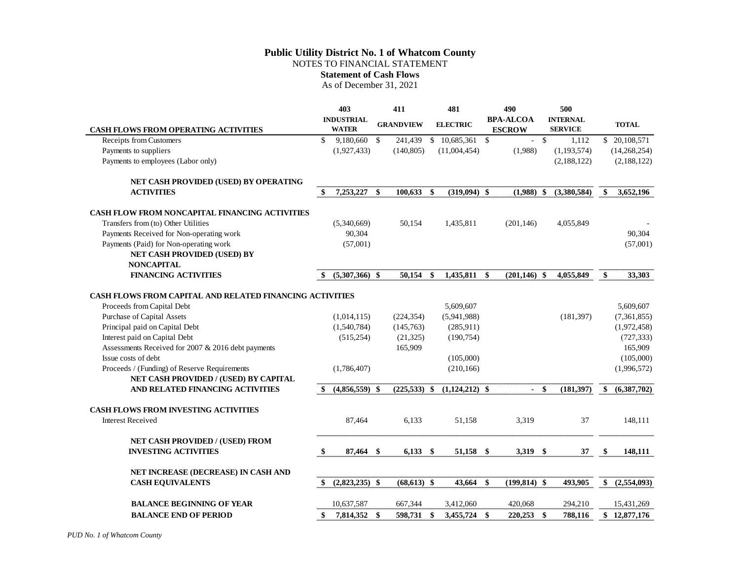### **Public Utility District No. 1 of Whatcom County** NOTES TO FINANCIAL STATEMENT **Statement of Cash Flows**

As of December 31, 2021

|                                                                 |               | 403               |     | 411              |               | 481              |     | 490              |        | 500             |                   |
|-----------------------------------------------------------------|---------------|-------------------|-----|------------------|---------------|------------------|-----|------------------|--------|-----------------|-------------------|
|                                                                 |               | <b>INDUSTRIAL</b> |     | <b>GRANDVIEW</b> |               | <b>ELECTRIC</b>  |     | <b>BPA-ALCOA</b> |        | <b>INTERNAL</b> | <b>TOTAL</b>      |
| <b>CASH FLOWS FROM OPERATING ACTIVITIES</b>                     |               | <b>WATER</b>      |     |                  |               |                  |     | <b>ESCROW</b>    |        | <b>SERVICE</b>  |                   |
| Receipts from Customers                                         | \$            | 9,180,660 \$      |     | 241,439          |               | $$10,685,361$ \$ |     |                  | $-5$   | 1,112           | \$ 20,108,571     |
| Payments to suppliers                                           |               | (1,927,433)       |     | (140, 805)       |               | (11,004,454)     |     | (1,988)          |        | (1,193,574)     | (14,268,254)      |
| Payments to employees (Labor only)                              |               |                   |     |                  |               |                  |     |                  |        | (2,188,122)     | (2,188,122)       |
| NET CASH PROVIDED (USED) BY OPERATING                           |               |                   |     |                  |               |                  |     |                  |        |                 |                   |
| <b>ACTIVITIES</b>                                               | $\mathbf{\$}$ | 7,253,227         | \$  | 100,633          | \$            | $(319,094)$ \$   |     | $(1,988)$ \$     |        | (3,380,584)     | \$<br>3,652,196   |
| <b>CASH FLOW FROM NONCAPITAL FINANCING ACTIVITIES</b>           |               |                   |     |                  |               |                  |     |                  |        |                 |                   |
| Transfers from (to) Other Utilities                             |               | (5,340,669)       |     | 50,154           |               | 1,435,811        |     | (201, 146)       |        | 4,055,849       |                   |
| Payments Received for Non-operating work                        |               | 90,304            |     |                  |               |                  |     |                  |        |                 | 90,304            |
| Payments (Paid) for Non-operating work                          |               | (57,001)          |     |                  |               |                  |     |                  |        |                 | (57,001)          |
| NET CASH PROVIDED (USED) BY                                     |               |                   |     |                  |               |                  |     |                  |        |                 |                   |
| <b>NONCAPITAL</b>                                               |               |                   |     |                  |               |                  |     |                  |        |                 |                   |
| <b>FINANCING ACTIVITIES</b>                                     | -\$           | $(5,307,366)$ \$  |     | 50.154           | $\mathbf{s}$  | 1,435,811 \$     |     | $(201, 146)$ \$  |        | 4,055,849       | \$<br>33,303      |
|                                                                 |               |                   |     |                  |               |                  |     |                  |        |                 |                   |
| <b>CASH FLOWS FROM CAPITAL AND RELATED FINANCING ACTIVITIES</b> |               |                   |     |                  |               |                  |     |                  |        |                 |                   |
| Proceeds from Capital Debt                                      |               |                   |     |                  |               | 5,609,607        |     |                  |        |                 | 5,609,607         |
| Purchase of Capital Assets                                      |               | (1,014,115)       |     | (224, 354)       |               | (5,941,988)      |     |                  |        | (181, 397)      | (7,361,855)       |
| Principal paid on Capital Debt                                  |               | (1,540,784)       |     | (145,763)        |               | (285,911)        |     |                  |        |                 | (1,972,458)       |
| Interest paid on Capital Debt                                   |               | (515, 254)        |     | (21, 325)        |               | (190, 754)       |     |                  |        |                 | (727, 333)        |
| Assessments Received for 2007 & 2016 debt payments              |               |                   |     | 165,909          |               |                  |     |                  |        |                 | 165,909           |
| Issue costs of debt                                             |               |                   |     |                  |               | (105,000)        |     |                  |        |                 | (105,000)         |
| Proceeds / (Funding) of Reserve Requirements                    |               | (1,786,407)       |     |                  |               | (210, 166)       |     |                  |        |                 | (1,996,572)       |
| NET CASH PROVIDED / (USED) BY CAPITAL                           |               |                   |     |                  |               |                  |     |                  |        |                 |                   |
| AND RELATED FINANCING ACTIVITIES                                | <sup>\$</sup> | $(4,856,559)$ \$  |     | $(225,533)$ \$   |               | $(1,124,212)$ \$ |     |                  | $-$ \$ | (181, 397)      | \$<br>(6,387,702) |
| <b>CASH FLOWS FROM INVESTING ACTIVITIES</b>                     |               |                   |     |                  |               |                  |     |                  |        |                 |                   |
| <b>Interest Received</b>                                        |               | 87,464            |     | 6,133            |               | 51,158           |     | 3,319            |        | 37              | 148,111           |
| NET CASH PROVIDED / (USED) FROM                                 |               |                   |     |                  |               |                  |     |                  |        |                 |                   |
| <b>INVESTING ACTIVITIES</b>                                     | \$            | 87,464            | -\$ | 6,133            | $\mathbf{\$}$ | 51,158           | -\$ | 3,319 \$         |        | 37              | \$<br>148,111     |
| NET INCREASE (DECREASE) IN CASH AND                             |               |                   |     |                  |               |                  |     |                  |        |                 |                   |
| <b>CASH EQUIVALENTS</b>                                         | \$            | $(2,823,235)$ \$  |     | $(68, 613)$ \$   |               | 43,664           | -\$ | $(199, 814)$ \$  |        | 493,905         | \$<br>(2,554,093) |
|                                                                 |               |                   |     |                  |               |                  |     |                  |        |                 |                   |
| <b>BALANCE BEGINNING OF YEAR</b>                                |               | 10,637,587        |     | 667,344          |               | 3,412,060        |     | 420,068          |        | 294,210         | 15,431,269        |
| <b>BALANCE END OF PERIOD</b>                                    | \$            | 7,814,352         | \$  | 598,731          | \$            | 3,455,724        | -\$ | 220,253          | \$     | 788,116         | \$12,877,176      |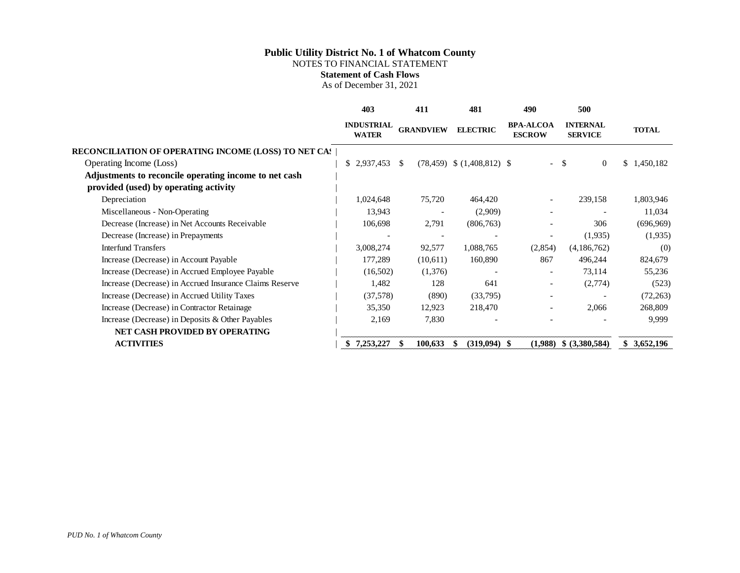NOTES TO FINANCIAL STATEMENT

**Statement of Cash Flows**

As of December 31, 2021

|                                                             | 403                               | 411                      | 481                            | 490                               | 500                               |              |
|-------------------------------------------------------------|-----------------------------------|--------------------------|--------------------------------|-----------------------------------|-----------------------------------|--------------|
|                                                             | <b>INDUSTRIAL</b><br><b>WATER</b> | <b>GRANDVIEW</b>         | <b>ELECTRIC</b>                | <b>BPA-ALCOA</b><br><b>ESCROW</b> | <b>INTERNAL</b><br><b>SERVICE</b> | <b>TOTAL</b> |
| <b>RECONCILIATION OF OPERATING INCOME (LOSS) TO NET CAS</b> |                                   |                          |                                |                                   |                                   |              |
| Operating Income (Loss)                                     | \$2,937,453                       | -S                       | $(78,459)$ \$ $(1,408,812)$ \$ |                                   | $\overline{0}$<br>S.              | \$1,450,182  |
| Adjustments to reconcile operating income to net cash       |                                   |                          |                                |                                   |                                   |              |
| provided (used) by operating activity                       |                                   |                          |                                |                                   |                                   |              |
| Depreciation                                                | 1,024,648                         | 75,720                   | 464,420                        |                                   | 239,158                           | 1,803,946    |
| Miscellaneous - Non-Operating                               | 13,943                            |                          | (2,909)                        |                                   |                                   | 11,034       |
| Decrease (Increase) in Net Accounts Receivable              | 106,698                           | 2,791                    | (806, 763)                     |                                   | 306                               | (696,969)    |
| Decrease (Increase) in Prepayments                          | $\overline{\phantom{a}}$          | $\overline{\phantom{a}}$ |                                |                                   | (1,935)                           | (1,935)      |
| <b>Interfund Transfers</b>                                  | 3,008,274                         | 92,577                   | 1,088,765                      | (2,854)                           | (4,186,762)                       | (0)          |
| Increase (Decrease) in Account Payable                      | 177,289                           | (10,611)                 | 160,890                        | 867                               | 496,244                           | 824,679      |
| Increase (Decrease) in Accrued Employee Payable             | (16,502)                          | (1,376)                  |                                |                                   | 73,114                            | 55,236       |
| Increase (Decrease) in Accrued Insurance Claims Reserve     | 1,482                             | 128                      | 641                            |                                   | (2,774)                           | (523)        |
| Increase (Decrease) in Accrued Utility Taxes                | (37,578)                          | (890)                    | (33,795)                       |                                   |                                   | (72, 263)    |
| Increase (Decrease) in Contractor Retainage                 | 35,350                            | 12,923                   | 218,470                        |                                   | 2,066                             | 268,809      |
| Increase (Decrease) in Deposits & Other Payables            | 2,169                             | 7,830                    |                                |                                   |                                   | 9,999        |
| NET CASH PROVIDED BY OPERATING                              |                                   |                          |                                |                                   |                                   |              |
| <b>ACTIVITIES</b>                                           | 7,253,227                         | 100,633                  | $(319,094)$ \$                 | (1,988)                           | \$ (3,380,584)                    | \$3,652,196  |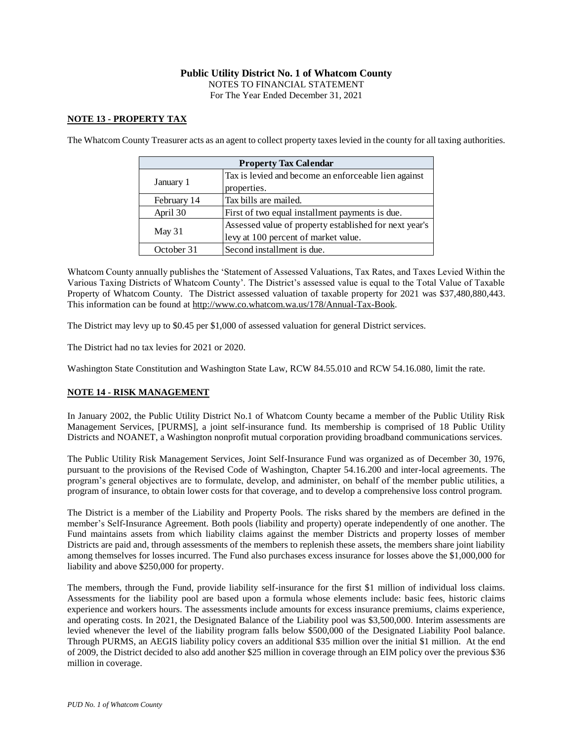NOTES TO FINANCIAL STATEMENT

For The Year Ended December 31, 2021

### **NOTE 13 - PROPERTY TAX**

The Whatcom County Treasurer acts as an agent to collect property taxes levied in the county for all taxing authorities.

| <b>Property Tax Calendar</b> |                                                        |  |  |  |  |  |
|------------------------------|--------------------------------------------------------|--|--|--|--|--|
| January 1                    | Tax is levied and become an enforceable lien against   |  |  |  |  |  |
|                              | properties.                                            |  |  |  |  |  |
| February 14                  | Tax bills are mailed.                                  |  |  |  |  |  |
| April 30                     | First of two equal installment payments is due.        |  |  |  |  |  |
| May 31                       | Assessed value of property established for next year's |  |  |  |  |  |
|                              | levy at 100 percent of market value.                   |  |  |  |  |  |
| October 31                   | Second installment is due.                             |  |  |  |  |  |

Whatcom County annually publishes the 'Statement of Assessed Valuations, Tax Rates, and Taxes Levied Within the Various Taxing Districts of Whatcom County'. The District's assessed value is equal to the Total Value of Taxable Property of Whatcom County. The District assessed valuation of taxable property for 2021 was \$37,480,880,443. This information can be found at http://www.co.whatcom.wa.us/178/Annual-Tax-Book.

The District may levy up to \$0.45 per \$1,000 of assessed valuation for general District services.

The District had no tax levies for 2021 or 2020.

Washington State Constitution and Washington State Law, RCW 84.55.010 and RCW 54.16.080, limit the rate.

### **NOTE 14 - RISK MANAGEMENT**

In January 2002, the Public Utility District No.1 of Whatcom County became a member of the Public Utility Risk Management Services, [PURMS], a joint self-insurance fund. Its membership is comprised of 18 Public Utility Districts and NOANET, a Washington nonprofit mutual corporation providing broadband communications services.

The Public Utility Risk Management Services, Joint Self-Insurance Fund was organized as of December 30, 1976, pursuant to the provisions of the Revised Code of Washington, Chapter 54.16.200 and inter-local agreements. The program's general objectives are to formulate, develop, and administer, on behalf of the member public utilities, a program of insurance, to obtain lower costs for that coverage, and to develop a comprehensive loss control program.

The District is a member of the Liability and Property Pools. The risks shared by the members are defined in the member's Self-Insurance Agreement. Both pools (liability and property) operate independently of one another. The Fund maintains assets from which liability claims against the member Districts and property losses of member Districts are paid and, through assessments of the members to replenish these assets, the members share joint liability among themselves for losses incurred. The Fund also purchases excess insurance for losses above the \$1,000,000 for liability and above \$250,000 for property.

The members, through the Fund, provide liability self-insurance for the first \$1 million of individual loss claims. Assessments for the liability pool are based upon a formula whose elements include: basic fees, historic claims experience and workers hours. The assessments include amounts for excess insurance premiums, claims experience, and operating costs. In 2021, the Designated Balance of the Liability pool was \$3,500,000. Interim assessments are levied whenever the level of the liability program falls below \$500,000 of the Designated Liability Pool balance. Through PURMS, an AEGIS liability policy covers an additional \$35 million over the initial \$1 million. At the end of 2009, the District decided to also add another \$25 million in coverage through an EIM policy over the previous \$36 million in coverage.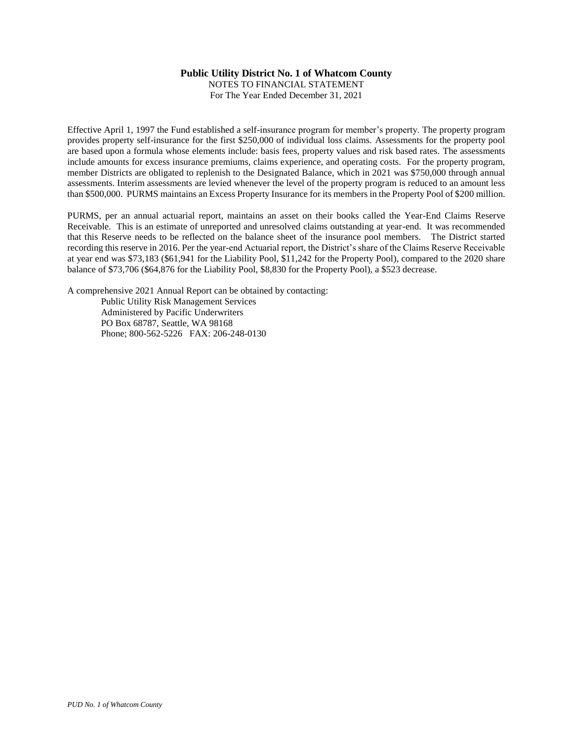NOTES TO FINANCIAL STATEMENT For The Year Ended December 31, 2021

Effective April 1, 1997 the Fund established a self-insurance program for member's property. The property program provides property self-insurance for the first \$250,000 of individual loss claims. Assessments for the property pool are based upon a formula whose elements include: basis fees, property values and risk based rates. The assessments include amounts for excess insurance premiums, claims experience, and operating costs. For the property program, member Districts are obligated to replenish to the Designated Balance, which in 2021 was \$750,000 through annual assessments. Interim assessments are levied whenever the level of the property program is reduced to an amount less than \$500,000. PURMS maintains an Excess Property Insurance for its members in the Property Pool of \$200 million.

PURMS, per an annual actuarial report, maintains an asset on their books called the Year-End Claims Reserve Receivable. This is an estimate of unreported and unresolved claims outstanding at year-end. It was recommended that this Reserve needs to be reflected on the balance sheet of the insurance pool members. The District started recording this reserve in 2016. Per the year-end Actuarial report, the District's share of the Claims Reserve Receivable at year end was \$73,183 (\$61,941 for the Liability Pool, \$11,242 for the Property Pool), compared to the 2020 share balance of \$73,706 (\$64,876 for the Liability Pool, \$8,830 for the Property Pool), a \$523 decrease.

A comprehensive 2021 Annual Report can be obtained by contacting:

Public Utility Risk Management Services Administered by Pacific Underwriters PO Box 68787, Seattle, WA 98168 Phone; 800-562-5226 FAX: 206-248-0130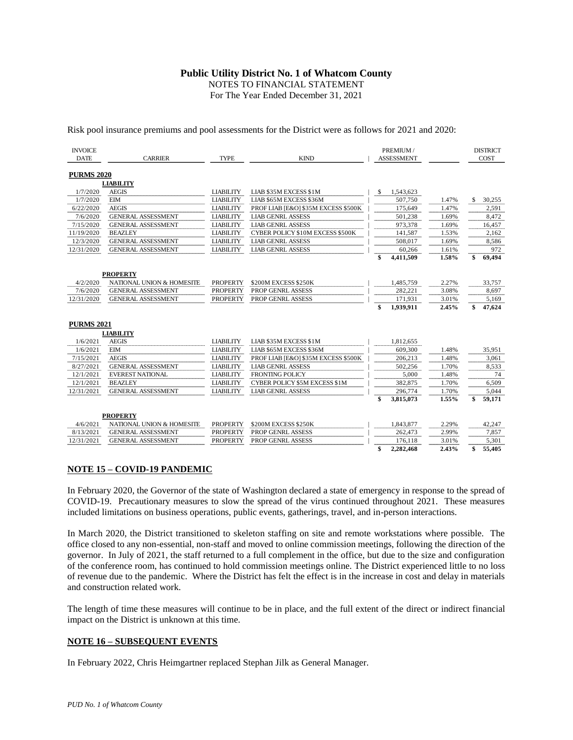NOTES TO FINANCIAL STATEMENT

For The Year Ended December 31, 2021

Risk pool insurance premiums and pool assessments for the District were as follows for 2021 and 2020:

| <b>INVOICE</b>    |                           |                  |                                     |    | PREMIUM /         |       |    | <b>DISTRICT</b> |
|-------------------|---------------------------|------------------|-------------------------------------|----|-------------------|-------|----|-----------------|
| <b>DATE</b>       | <b>CARRIER</b>            | <b>TYPE</b>      | <b>KIND</b>                         |    | <b>ASSESSMENT</b> |       |    | COST            |
|                   |                           |                  |                                     |    |                   |       |    |                 |
| <b>PURMS 2020</b> |                           |                  |                                     |    |                   |       |    |                 |
|                   | <b>LIABILITY</b>          |                  |                                     |    |                   |       |    |                 |
| 1/7/2020          | <b>AEGIS</b>              | <b>LIABILITY</b> | LIAB \$35M EXCESS \$1M              | S  | 1,543,623         |       |    |                 |
| 1/7/2020          | <b>EIM</b>                | <b>LIABILITY</b> | LIAB \$65M EXCESS \$36M             |    | 507,750           | 1.47% | S. | 30,255          |
| 6/22/2020         | <b>AEGIS</b>              | <b>LIABILITY</b> | PROF LIAB [E&O] \$35M EXCESS \$500K |    | 175,649           | 1.47% |    | 2.591           |
| 7/6/2020          | <b>GENERAL ASSESSMENT</b> | <b>LIABILITY</b> | <b>LIAB GENRL ASSESS</b>            |    | 501,238           | 1.69% |    | 8,472           |
| 7/15/2020         | <b>GENERAL ASSESSMENT</b> | <b>LIABILITY</b> | <b>LIAB GENRL ASSESS</b>            |    | 973,378           | 1.69% |    | 16,457          |
| 11/19/2020        | <b>BEAZLEY</b>            | <b>LIABILITY</b> | CYBER POLICY \$10M EXCESS \$500K    |    | 141,587           | 1.53% |    | 2.162           |
| 12/3/2020         | <b>GENERAL ASSESSMENT</b> | <b>LIABILITY</b> | <b>LIAB GENRL ASSESS</b>            |    | 508,017           | 1.69% |    | 8,586           |
| 12/31/2020        | <b>GENERAL ASSESSMENT</b> | <b>LIABILITY</b> | <b>LIAB GENRL ASSESS</b>            |    | 60.266            | 1.61% |    | 972             |
|                   |                           |                  |                                     | \$ | 4,411,509         | 1.58% | \$ | 69,494          |
|                   |                           |                  |                                     |    |                   |       |    |                 |
|                   | <b>PROPERTY</b>           |                  |                                     |    |                   |       |    |                 |
| 4/2/2020          | NATIONAL UNION & HOMESITE | <b>PROPERTY</b>  | \$200M EXCESS \$250K                |    | 1,485,759         | 2.27% |    | 33,757          |
| 7/6/2020          | <b>GENERAL ASSESSMENT</b> | <b>PROPERTY</b>  | PROP GENRL ASSESS                   |    | 282,221           | 3.08% |    | 8.697           |
| 12/31/2020        | <b>GENERAL ASSESSMENT</b> | <b>PROPERTY</b>  | PROP GENRL ASSESS                   |    | 171,931           | 3.01% |    | 5,169           |
|                   |                           |                  |                                     | \$ | 1,939,911         | 2.45% | \$ | 47,624          |
|                   |                           |                  |                                     |    |                   |       |    |                 |
| <b>PURMS 2021</b> |                           |                  |                                     |    |                   |       |    |                 |
|                   | <b>LIABILITY</b>          |                  |                                     |    |                   |       |    |                 |
| 1/6/2021          | <b>AEGIS</b>              | <b>LIABILITY</b> | LIAB \$35M EXCESS \$1M              |    | 1,812,655         |       |    |                 |
| 1/6/2021          | <b>EIM</b>                | <b>LIABILITY</b> | LIAB \$65M EXCESS \$36M             |    | 609,300           | 1.48% |    | 35,951          |
| 7/15/2021         | <b>AEGIS</b>              | <b>LIABILITY</b> | PROF LIAB [E&O] \$35M EXCESS \$500K |    | 206,213           | 1.48% |    | 3,061           |
| 8/27/2021         | <b>GENERAL ASSESSMENT</b> | <b>LIABILITY</b> | <b>LIAB GENRL ASSESS</b>            |    | 502,256           | 1.70% |    | 8,533           |
| 12/1/2021         | EVEREST NATIONAL          | <b>LIABILITY</b> | <b>FRONTING POLICY</b>              |    | 5,000             | 1.48% |    | 74              |
| 12/1/2021         | <b>BEAZLEY</b>            | <b>LIABILITY</b> | CYBER POLICY \$5M EXCESS \$1M       |    | 382,875           | 1.70% |    | 6,509           |
| 12/31/2021        | <b>GENERAL ASSESSMENT</b> | <b>LIABILITY</b> | <b>LIAB GENRL ASSESS</b>            |    | 296,774           | 1.70% |    | 5,044           |
|                   |                           |                  |                                     | \$ | 3,815,073         | 1.55% | \$ | 59.171          |
|                   |                           |                  |                                     |    |                   |       |    |                 |
|                   | <b>PROPERTY</b>           |                  |                                     |    |                   |       |    |                 |
| 4/6/2021          | NATIONAL UNION & HOMESITE | <b>PROPERTY</b>  | \$200M EXCESS \$250K                |    | 1,843,877         | 2.29% |    | 42,247          |
| 8/13/2021         | <b>GENERAL ASSESSMENT</b> | <b>PROPERTY</b>  | PROP GENRL ASSESS                   |    | 262,473           | 2.99% |    | 7,857           |
| 12/31/2021        | <b>GENERAL ASSESSMENT</b> | PROPERTY         | PROP GENRL ASSESS                   |    | 176,118           | 3.01% |    | 5,301           |
|                   |                           |                  |                                     | \$ | 2,282,468         | 2.43% | \$ | 55,405          |

#### **NOTE 15 – COVID-19 PANDEMIC**

In February 2020, the Governor of the state of Washington declared a state of emergency in response to the spread of COVID-19. Precautionary measures to slow the spread of the virus continued throughout 2021. These measures included limitations on business operations, public events, gatherings, travel, and in-person interactions.

In March 2020, the District transitioned to skeleton staffing on site and remote workstations where possible. The office closed to any non-essential, non-staff and moved to online commission meetings, following the direction of the governor. In July of 2021, the staff returned to a full complement in the office, but due to the size and configuration of the conference room, has continued to hold commission meetings online. The District experienced little to no loss of revenue due to the pandemic. Where the District has felt the effect is in the increase in cost and delay in materials and construction related work.

The length of time these measures will continue to be in place, and the full extent of the direct or indirect financial impact on the District is unknown at this time.

#### **NOTE 16 – SUBSEQUENT EVENTS**

In February 2022, Chris Heimgartner replaced Stephan Jilk as General Manager.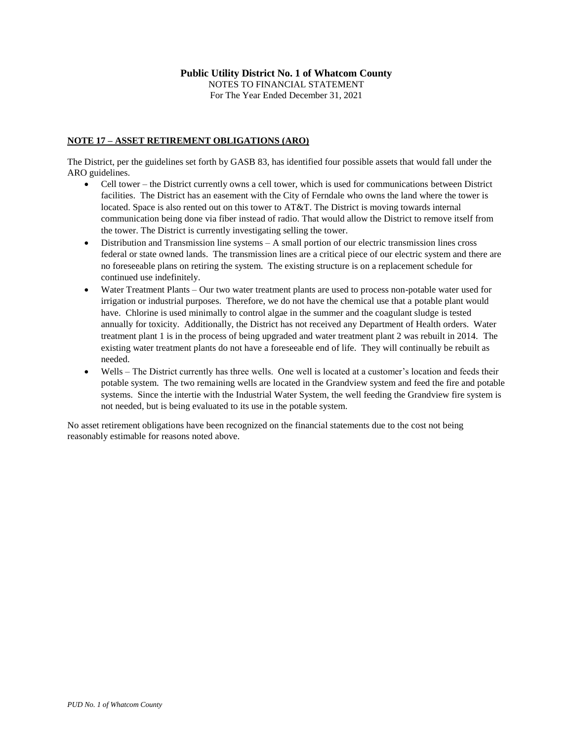### **NOTE 17 – ASSET RETIREMENT OBLIGATIONS (ARO)**

The District, per the guidelines set forth by GASB 83, has identified four possible assets that would fall under the ARO guidelines.

- Cell tower the District currently owns a cell tower, which is used for communications between District facilities. The District has an easement with the City of Ferndale who owns the land where the tower is located. Space is also rented out on this tower to AT&T. The District is moving towards internal communication being done via fiber instead of radio. That would allow the District to remove itself from the tower. The District is currently investigating selling the tower.
- $\bullet$  Distribution and Transmission line systems  $-A$  small portion of our electric transmission lines cross federal or state owned lands. The transmission lines are a critical piece of our electric system and there are no foreseeable plans on retiring the system. The existing structure is on a replacement schedule for continued use indefinitely.
- Water Treatment Plants Our two water treatment plants are used to process non-potable water used for irrigation or industrial purposes. Therefore, we do not have the chemical use that a potable plant would have. Chlorine is used minimally to control algae in the summer and the coagulant sludge is tested annually for toxicity. Additionally, the District has not received any Department of Health orders. Water treatment plant 1 is in the process of being upgraded and water treatment plant 2 was rebuilt in 2014. The existing water treatment plants do not have a foreseeable end of life. They will continually be rebuilt as needed.
- Wells The District currently has three wells. One well is located at a customer's location and feeds their potable system. The two remaining wells are located in the Grandview system and feed the fire and potable systems. Since the intertie with the Industrial Water System, the well feeding the Grandview fire system is not needed, but is being evaluated to its use in the potable system.

No asset retirement obligations have been recognized on the financial statements due to the cost not being reasonably estimable for reasons noted above.